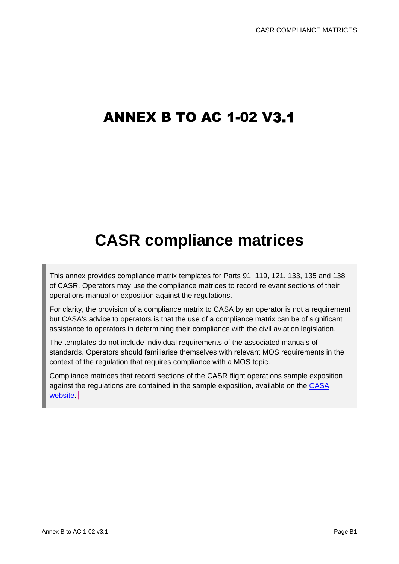## ANNEX B TO AC 1-02 V3.1

# **CASR compliance matrices**

This annex provides compliance matrix templates for Parts 91, 119, 121, 133, 135 and 138 of CASR. Operators may use the compliance matrices to record relevant sections of their operations manual or exposition against the regulations.

For clarity, the provision of a compliance matrix to CASA by an operator is not a requirement but CASA's advice to operators is that the use of a compliance matrix can be of significant assistance to operators in determining their compliance with the civil aviation legislation.

The templates do not include individual requirements of the associated manuals of standards. Operators should familiarise themselves with relevant MOS requirements in the context of the regulation that requires compliance with a MOS topic.

Compliance matrices that record sections of the CASR flight operations sample exposition against the regulations are contained in the sample exposition, available on the [CASA](https://www.casa.gov.au/sample-operations-manual-templates-flight-operators?msclkid=f1cd4326d0e511ecbd5d55dacc5668ae)  [website.](https://www.casa.gov.au/sample-operations-manual-templates-flight-operators?msclkid=f1cd4326d0e511ecbd5d55dacc5668ae)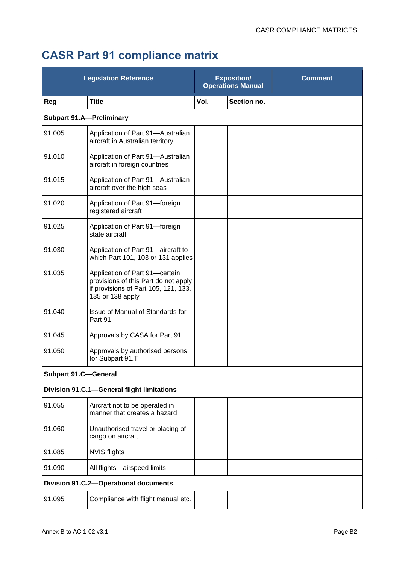## **CASR Part 91 compliance matrix**

|                             | <b>Legislation Reference</b>                                                                                                       | <b>Exposition/</b><br><b>Operations Manual</b> |             | <b>Comment</b> |
|-----------------------------|------------------------------------------------------------------------------------------------------------------------------------|------------------------------------------------|-------------|----------------|
| Reg                         | <b>Title</b>                                                                                                                       | Vol.                                           | Section no. |                |
|                             | <b>Subpart 91.A-Preliminary</b>                                                                                                    |                                                |             |                |
| 91.005                      | Application of Part 91-Australian<br>aircraft in Australian territory                                                              |                                                |             |                |
| 91.010                      | Application of Part 91-Australian<br>aircraft in foreign countries                                                                 |                                                |             |                |
| 91.015                      | Application of Part 91-Australian<br>aircraft over the high seas                                                                   |                                                |             |                |
| 91.020                      | Application of Part 91-foreign<br>registered aircraft                                                                              |                                                |             |                |
| 91.025                      | Application of Part 91-foreign<br>state aircraft                                                                                   |                                                |             |                |
| 91.030                      | Application of Part 91-aircraft to<br>which Part 101, 103 or 131 applies                                                           |                                                |             |                |
| 91.035                      | Application of Part 91-certain<br>provisions of this Part do not apply<br>if provisions of Part 105, 121, 133,<br>135 or 138 apply |                                                |             |                |
| 91.040                      | Issue of Manual of Standards for<br>Part 91                                                                                        |                                                |             |                |
| 91.045                      | Approvals by CASA for Part 91                                                                                                      |                                                |             |                |
| 91.050                      | Approvals by authorised persons<br>for Subpart 91.T                                                                                |                                                |             |                |
| <b>Subpart 91.C-General</b> |                                                                                                                                    |                                                |             |                |
|                             | Division 91.C.1-General flight limitations                                                                                         |                                                |             |                |
| 91.055                      | Aircraft not to be operated in<br>manner that creates a hazard                                                                     |                                                |             |                |
| 91.060                      | Unauthorised travel or placing of<br>cargo on aircraft                                                                             |                                                |             |                |
| 91.085                      | <b>NVIS flights</b>                                                                                                                |                                                |             |                |
| 91.090                      | All flights-airspeed limits                                                                                                        |                                                |             |                |
|                             | <b>Division 91.C.2-Operational documents</b>                                                                                       |                                                |             |                |
| 91.095                      | Compliance with flight manual etc.                                                                                                 |                                                |             |                |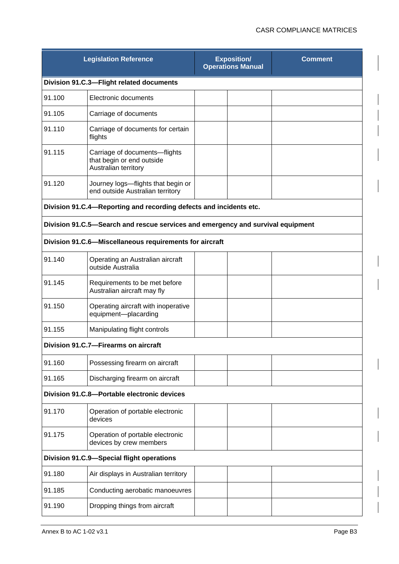|        | <b>Legislation Reference</b>                                                       | <b>Exposition/</b><br><b>Operations Manual</b> | <b>Comment</b> |
|--------|------------------------------------------------------------------------------------|------------------------------------------------|----------------|
|        | Division 91.C.3-Flight related documents                                           |                                                |                |
| 91.100 | Electronic documents                                                               |                                                |                |
| 91.105 | Carriage of documents                                                              |                                                |                |
| 91.110 | Carriage of documents for certain<br>flights                                       |                                                |                |
| 91.115 | Carriage of documents-flights<br>that begin or end outside<br>Australian territory |                                                |                |
| 91.120 | Journey logs-flights that begin or<br>end outside Australian territory             |                                                |                |
|        | Division 91.C.4-Reporting and recording defects and incidents etc.                 |                                                |                |
|        | Division 91.C.5—Search and rescue services and emergency and survival equipment    |                                                |                |
|        | Division 91.C.6-Miscellaneous requirements for aircraft                            |                                                |                |
| 91.140 | Operating an Australian aircraft<br>outside Australia                              |                                                |                |
| 91.145 | Requirements to be met before<br>Australian aircraft may fly                       |                                                |                |
| 91.150 | Operating aircraft with inoperative<br>equipment-placarding                        |                                                |                |
| 91.155 | Manipulating flight controls                                                       |                                                |                |
|        | Division 91.C.7-Firearms on aircraft                                               |                                                |                |
| 91.160 | Possessing firearm on aircraft                                                     |                                                |                |
| 91.165 | Discharging firearm on aircraft                                                    |                                                |                |
|        | Division 91.C.8-Portable electronic devices                                        |                                                |                |
| 91.170 | Operation of portable electronic<br>devices                                        |                                                |                |
| 91.175 | Operation of portable electronic<br>devices by crew members                        |                                                |                |
|        | Division 91.C.9-Special flight operations                                          |                                                |                |
| 91.180 | Air displays in Australian territory                                               |                                                |                |
| 91.185 | Conducting aerobatic manoeuvres                                                    |                                                |                |
| 91.190 | Dropping things from aircraft                                                      |                                                |                |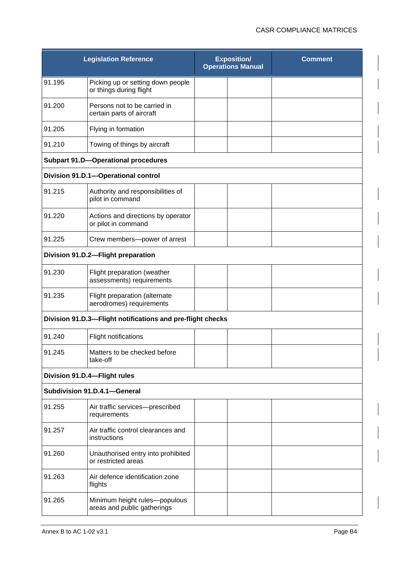|                                     | <b>Legislation Reference</b>                                 |  | <b>Exposition/</b><br><b>Operations Manual</b> | <b>Comment</b> |  |
|-------------------------------------|--------------------------------------------------------------|--|------------------------------------------------|----------------|--|
| 91.195                              | Picking up or setting down people<br>or things during flight |  |                                                |                |  |
| 91.200                              | Persons not to be carried in<br>certain parts of aircraft    |  |                                                |                |  |
| 91.205                              | Flying in formation                                          |  |                                                |                |  |
| 91.210                              | Towing of things by aircraft                                 |  |                                                |                |  |
|                                     | <b>Subpart 91.D-Operational procedures</b>                   |  |                                                |                |  |
| Division 91.D.1-Operational control |                                                              |  |                                                |                |  |
| 91.215                              | Authority and responsibilities of<br>pilot in command        |  |                                                |                |  |
| 91.220                              | Actions and directions by operator<br>or pilot in command    |  |                                                |                |  |
| 91.225                              | Crew members--power of arrest                                |  |                                                |                |  |
|                                     | Division 91.D.2-Flight preparation                           |  |                                                |                |  |
| 91.230                              | Flight preparation (weather<br>assessments) requirements     |  |                                                |                |  |
| 91.235                              | Flight preparation (alternate<br>aerodromes) requirements    |  |                                                |                |  |
|                                     | Division 91.D.3-Flight notifications and pre-flight checks   |  |                                                |                |  |
| 91.240                              | Flight notifications                                         |  |                                                |                |  |
| 91.245                              | Matters to be checked before<br>take-off                     |  |                                                |                |  |
|                                     | Division 91.D.4-Flight rules                                 |  |                                                |                |  |
|                                     | Subdivision 91.D.4.1-General                                 |  |                                                |                |  |
| 91.255                              | Air traffic services-prescribed<br>requirements              |  |                                                |                |  |
| 91.257                              | Air traffic control clearances and<br>instructions           |  |                                                |                |  |
| 91.260                              | Unauthorised entry into prohibited<br>or restricted areas    |  |                                                |                |  |
| 91.263                              | Air defence identification zone<br>flights                   |  |                                                |                |  |
| 91.265                              | Minimum height rules-populous<br>areas and public gatherings |  |                                                |                |  |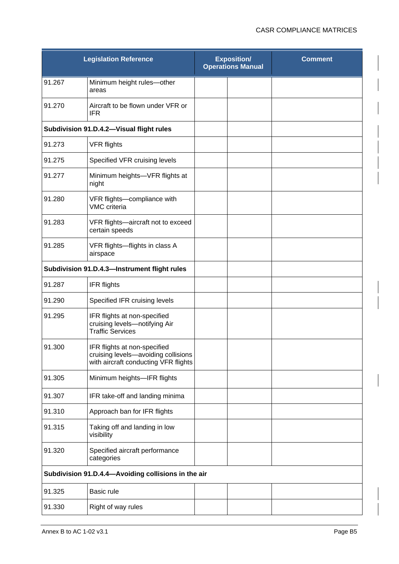|        | <b>Legislation Reference</b>                                                                                | <b>Exposition/</b><br><b>Operations Manual</b> |  | <b>Comment</b> |
|--------|-------------------------------------------------------------------------------------------------------------|------------------------------------------------|--|----------------|
| 91.267 | Minimum height rules-other<br>areas                                                                         |                                                |  |                |
| 91.270 | Aircraft to be flown under VFR or<br><b>IFR</b>                                                             |                                                |  |                |
|        | Subdivision 91.D.4.2-Visual flight rules                                                                    |                                                |  |                |
| 91.273 | <b>VFR flights</b>                                                                                          |                                                |  |                |
| 91.275 | Specified VFR cruising levels                                                                               |                                                |  |                |
| 91.277 | Minimum heights-VFR flights at<br>night                                                                     |                                                |  |                |
| 91.280 | VFR flights-compliance with<br>VMC criteria                                                                 |                                                |  |                |
| 91.283 | VFR flights-aircraft not to exceed<br>certain speeds                                                        |                                                |  |                |
| 91.285 | VFR flights-flights in class A<br>airspace                                                                  |                                                |  |                |
|        | Subdivision 91.D.4.3-Instrument flight rules                                                                |                                                |  |                |
| 91.287 | <b>IFR flights</b>                                                                                          |                                                |  |                |
| 91.290 | Specified IFR cruising levels                                                                               |                                                |  |                |
| 91.295 | IFR flights at non-specified<br>cruising levels-notifying Air<br><b>Traffic Services</b>                    |                                                |  |                |
| 91.300 | IFR flights at non-specified<br>cruising levels-avoiding collisions<br>with aircraft conducting VFR flights |                                                |  |                |
| 91.305 | Minimum heights-IFR flights                                                                                 |                                                |  |                |
| 91.307 | IFR take-off and landing minima                                                                             |                                                |  |                |
| 91.310 | Approach ban for IFR flights                                                                                |                                                |  |                |
| 91.315 | Taking off and landing in low<br>visibility                                                                 |                                                |  |                |
| 91.320 | Specified aircraft performance<br>categories                                                                |                                                |  |                |
|        | Subdivision 91.D.4.4-Avoiding collisions in the air                                                         |                                                |  |                |
| 91.325 | Basic rule                                                                                                  |                                                |  |                |
| 91.330 | Right of way rules                                                                                          |                                                |  |                |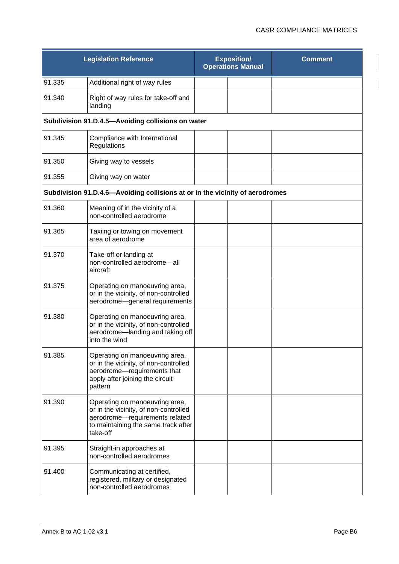|        | <b>Legislation Reference</b>                                                                                                                                 | <b>Exposition/</b><br><b>Operations Manual</b> | <b>Comment</b> |
|--------|--------------------------------------------------------------------------------------------------------------------------------------------------------------|------------------------------------------------|----------------|
| 91.335 | Additional right of way rules                                                                                                                                |                                                |                |
| 91.340 | Right of way rules for take-off and<br>landing                                                                                                               |                                                |                |
|        | Subdivision 91.D.4.5-Avoiding collisions on water                                                                                                            |                                                |                |
| 91.345 | Compliance with International<br>Regulations                                                                                                                 |                                                |                |
| 91.350 | Giving way to vessels                                                                                                                                        |                                                |                |
| 91.355 | Giving way on water                                                                                                                                          |                                                |                |
|        | Subdivision 91.D.4.6-Avoiding collisions at or in the vicinity of aerodromes                                                                                 |                                                |                |
| 91.360 | Meaning of in the vicinity of a<br>non-controlled aerodrome                                                                                                  |                                                |                |
| 91.365 | Taxiing or towing on movement<br>area of aerodrome                                                                                                           |                                                |                |
| 91.370 | Take-off or landing at<br>non-controlled aerodrome-all<br>aircraft                                                                                           |                                                |                |
| 91.375 | Operating on manoeuvring area,<br>or in the vicinity, of non-controlled<br>aerodrome-general requirements                                                    |                                                |                |
| 91.380 | Operating on manoeuvring area,<br>or in the vicinity, of non-controlled<br>aerodrome-landing and taking off<br>into the wind                                 |                                                |                |
| 91.385 | Operating on manoeuvring area,<br>or in the vicinity, of non-controlled<br>aerodrome-requirements that<br>apply after joining the circuit<br>pattern         |                                                |                |
| 91.390 | Operating on manoeuvring area,<br>or in the vicinity, of non-controlled<br>aerodrome-requirements related<br>to maintaining the same track after<br>take-off |                                                |                |
| 91.395 | Straight-in approaches at<br>non-controlled aerodromes                                                                                                       |                                                |                |
| 91.400 | Communicating at certified,<br>registered, military or designated<br>non-controlled aerodromes                                                               |                                                |                |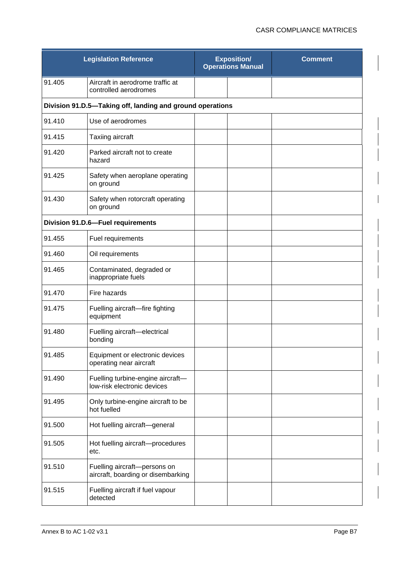|        | <b>Legislation Reference</b>                                       | <b>Exposition/</b><br><b>Operations Manual</b> | <b>Comment</b> |
|--------|--------------------------------------------------------------------|------------------------------------------------|----------------|
| 91.405 | Aircraft in aerodrome traffic at<br>controlled aerodromes          |                                                |                |
|        | Division 91.D.5-Taking off, landing and ground operations          |                                                |                |
| 91.410 | Use of aerodromes                                                  |                                                |                |
| 91.415 | Taxiing aircraft                                                   |                                                |                |
| 91.420 | Parked aircraft not to create<br>hazard                            |                                                |                |
| 91.425 | Safety when aeroplane operating<br>on ground                       |                                                |                |
| 91.430 | Safety when rotorcraft operating<br>on ground                      |                                                |                |
|        | Division 91.D.6-Fuel requirements                                  |                                                |                |
| 91.455 | Fuel requirements                                                  |                                                |                |
| 91.460 | Oil requirements                                                   |                                                |                |
| 91.465 | Contaminated, degraded or<br>inappropriate fuels                   |                                                |                |
| 91.470 | Fire hazards                                                       |                                                |                |
| 91.475 | Fuelling aircraft-fire fighting<br>equipment                       |                                                |                |
| 91.480 | Fuelling aircraft-electrical<br>bonding                            |                                                |                |
| 91.485 | Equipment or electronic devices<br>operating near aircraft         |                                                |                |
| 91.490 | Fuelling turbine-engine aircraft-<br>low-risk electronic devices   |                                                |                |
| 91.495 | Only turbine-engine aircraft to be<br>hot fuelled                  |                                                |                |
| 91.500 | Hot fuelling aircraft-general                                      |                                                |                |
| 91.505 | Hot fuelling aircraft-procedures<br>etc.                           |                                                |                |
| 91.510 | Fuelling aircraft-persons on<br>aircraft, boarding or disembarking |                                                |                |
| 91.515 | Fuelling aircraft if fuel vapour<br>detected                       |                                                |                |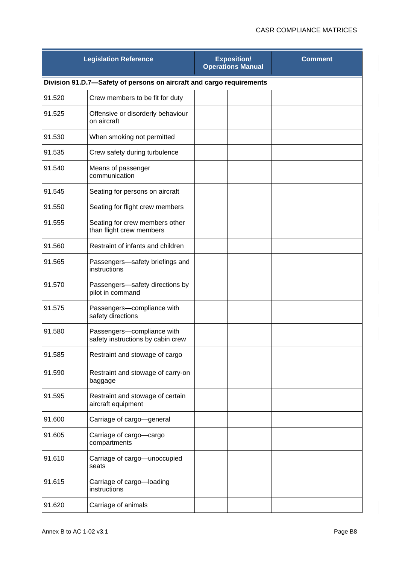|        | <b>Legislation Reference</b>                                         | <b>Exposition/</b><br><b>Operations Manual</b> |  | <b>Comment</b> |
|--------|----------------------------------------------------------------------|------------------------------------------------|--|----------------|
|        | Division 91.D.7-Safety of persons on aircraft and cargo requirements |                                                |  |                |
| 91.520 | Crew members to be fit for duty                                      |                                                |  |                |
| 91.525 | Offensive or disorderly behaviour<br>on aircraft                     |                                                |  |                |
| 91.530 | When smoking not permitted                                           |                                                |  |                |
| 91.535 | Crew safety during turbulence                                        |                                                |  |                |
| 91.540 | Means of passenger<br>communication                                  |                                                |  |                |
| 91.545 | Seating for persons on aircraft                                      |                                                |  |                |
| 91.550 | Seating for flight crew members                                      |                                                |  |                |
| 91.555 | Seating for crew members other<br>than flight crew members           |                                                |  |                |
| 91.560 | Restraint of infants and children                                    |                                                |  |                |
| 91.565 | Passengers-safety briefings and<br>instructions                      |                                                |  |                |
| 91.570 | Passengers-safety directions by<br>pilot in command                  |                                                |  |                |
| 91.575 | Passengers-compliance with<br>safety directions                      |                                                |  |                |
| 91.580 | Passengers-compliance with<br>safety instructions by cabin crew      |                                                |  |                |
| 91.585 | Restraint and stowage of cargo                                       |                                                |  |                |
| 91.590 | Restraint and stowage of carry-on<br>baggage                         |                                                |  |                |
| 91.595 | Restraint and stowage of certain<br>aircraft equipment               |                                                |  |                |
| 91.600 | Carriage of cargo-general                                            |                                                |  |                |
| 91.605 | Carriage of cargo-cargo<br>compartments                              |                                                |  |                |
| 91.610 | Carriage of cargo-unoccupied<br>seats                                |                                                |  |                |
| 91.615 | Carriage of cargo-loading<br>instructions                            |                                                |  |                |
| 91.620 | Carriage of animals                                                  |                                                |  |                |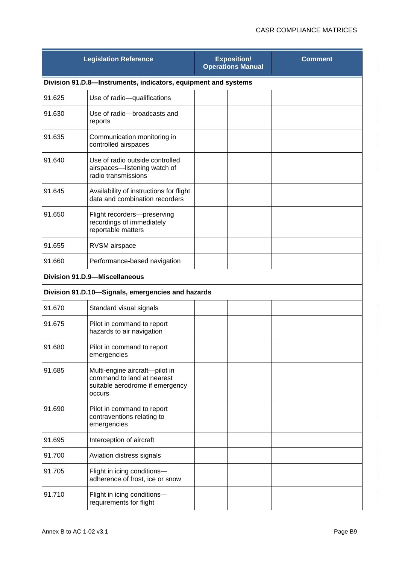|        | <b>Legislation Reference</b>                                                                              | <b>Exposition/</b><br><b>Operations Manual</b> | <b>Comment</b> |
|--------|-----------------------------------------------------------------------------------------------------------|------------------------------------------------|----------------|
|        | Division 91.D.8-Instruments, indicators, equipment and systems                                            |                                                |                |
| 91.625 | Use of radio-qualifications                                                                               |                                                |                |
| 91.630 | Use of radio-broadcasts and<br>reports                                                                    |                                                |                |
| 91.635 | Communication monitoring in<br>controlled airspaces                                                       |                                                |                |
| 91.640 | Use of radio outside controlled<br>airspaces-listening watch of<br>radio transmissions                    |                                                |                |
| 91.645 | Availability of instructions for flight<br>data and combination recorders                                 |                                                |                |
| 91.650 | Flight recorders-preserving<br>recordings of immediately<br>reportable matters                            |                                                |                |
| 91.655 | RVSM airspace                                                                                             |                                                |                |
| 91.660 | Performance-based navigation                                                                              |                                                |                |
|        | <b>Division 91.D.9-Miscellaneous</b>                                                                      |                                                |                |
|        | Division 91.D.10-Signals, emergencies and hazards                                                         |                                                |                |
| 91.670 | Standard visual signals                                                                                   |                                                |                |
| 91.675 | Pilot in command to report<br>hazards to air navigation                                                   |                                                |                |
| 91.680 | Pilot in command to report<br>emergencies                                                                 |                                                |                |
| 91.685 | Multi-engine aircraft-pilot in<br>command to land at nearest<br>suitable aerodrome if emergency<br>occurs |                                                |                |
| 91.690 | Pilot in command to report<br>contraventions relating to<br>emergencies                                   |                                                |                |
| 91.695 | Interception of aircraft                                                                                  |                                                |                |
| 91.700 | Aviation distress signals                                                                                 |                                                |                |
| 91.705 | Flight in icing conditions-<br>adherence of frost, ice or snow                                            |                                                |                |
| 91.710 | Flight in icing conditions-<br>requirements for flight                                                    |                                                |                |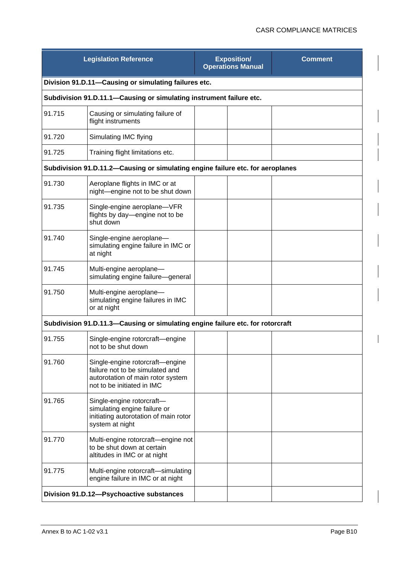|        | <b>Legislation Reference</b>                                                                                                          |  | <b>Exposition/</b><br><b>Operations Manual</b> | <b>Comment</b> |  |  |
|--------|---------------------------------------------------------------------------------------------------------------------------------------|--|------------------------------------------------|----------------|--|--|
|        | Division 91.D.11-Causing or simulating failures etc.                                                                                  |  |                                                |                |  |  |
|        | Subdivision 91.D.11.1-Causing or simulating instrument failure etc.                                                                   |  |                                                |                |  |  |
| 91.715 | Causing or simulating failure of<br>flight instruments                                                                                |  |                                                |                |  |  |
| 91.720 | Simulating IMC flying                                                                                                                 |  |                                                |                |  |  |
| 91.725 | Training flight limitations etc.                                                                                                      |  |                                                |                |  |  |
|        | Subdivision 91.D.11.2-Causing or simulating engine failure etc. for aeroplanes                                                        |  |                                                |                |  |  |
| 91.730 | Aeroplane flights in IMC or at<br>night-engine not to be shut down                                                                    |  |                                                |                |  |  |
| 91.735 | Single-engine aeroplane-VFR<br>flights by day-engine not to be<br>shut down                                                           |  |                                                |                |  |  |
| 91.740 | Single-engine aeroplane-<br>simulating engine failure in IMC or<br>at night                                                           |  |                                                |                |  |  |
| 91.745 | Multi-engine aeroplane-<br>simulating engine failure-general                                                                          |  |                                                |                |  |  |
| 91.750 | Multi-engine aeroplane-<br>simulating engine failures in IMC<br>or at night                                                           |  |                                                |                |  |  |
|        | Subdivision 91.D.11.3-Causing or simulating engine failure etc. for rotorcraft                                                        |  |                                                |                |  |  |
| 91.755 | Single-engine rotorcraft-engine<br>not to be shut down                                                                                |  |                                                |                |  |  |
| 91.760 | Single-engine rotorcraft-engine<br>failure not to be simulated and<br>autorotation of main rotor system<br>not to be initiated in IMC |  |                                                |                |  |  |
| 91.765 | Single-engine rotorcraft-<br>simulating engine failure or<br>initiating autorotation of main rotor<br>system at night                 |  |                                                |                |  |  |
| 91.770 | Multi-engine rotorcraft-engine not<br>to be shut down at certain<br>altitudes in IMC or at night                                      |  |                                                |                |  |  |
| 91.775 | Multi-engine rotorcraft-simulating<br>engine failure in IMC or at night                                                               |  |                                                |                |  |  |
|        | Division 91.D.12-Psychoactive substances                                                                                              |  |                                                |                |  |  |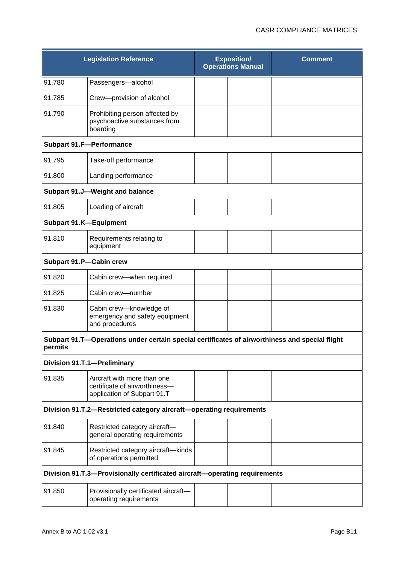|                               | <b>Legislation Reference</b>                                                                   | <b>Exposition/</b><br><b>Operations Manual</b> | <b>Comment</b> |
|-------------------------------|------------------------------------------------------------------------------------------------|------------------------------------------------|----------------|
| 91.780                        | Passengers-alcohol                                                                             |                                                |                |
| 91.785                        | Crew-provision of alcohol                                                                      |                                                |                |
| 91.790                        | Prohibiting person affected by<br>psychoactive substances from<br>boarding                     |                                                |                |
|                               | <b>Subpart 91.F-Performance</b>                                                                |                                                |                |
| 91.795                        | Take-off performance                                                                           |                                                |                |
| 91.800                        | Landing performance                                                                            |                                                |                |
|                               | Subpart 91.J-Weight and balance                                                                |                                                |                |
| 91.805                        | Loading of aircraft                                                                            |                                                |                |
| <b>Subpart 91.K-Equipment</b> |                                                                                                |                                                |                |
| 91.810                        | Requirements relating to<br>equipment                                                          |                                                |                |
| Subpart 91.P-Cabin crew       |                                                                                                |                                                |                |
| 91.820                        | Cabin crew-when required                                                                       |                                                |                |
| 91.825                        | Cabin crew-number                                                                              |                                                |                |
| 91.830                        | Cabin crew-knowledge of<br>emergency and safety equipment<br>and procedures                    |                                                |                |
| permits                       | Subpart 91.T-Operations under certain special certificates of airworthiness and special flight |                                                |                |
|                               | Division 91.T.1-Preliminary                                                                    |                                                |                |
| 91.835                        | Aircraft with more than one<br>certificate of airworthiness-<br>application of Subpart 91.T    |                                                |                |
|                               | Division 91.T.2-Restricted category aircraft-operating requirements                            |                                                |                |
| 91.840                        | Restricted category aircraft-<br>general operating requirements                                |                                                |                |
| 91.845                        | Restricted category aircraft-kinds<br>of operations permitted                                  |                                                |                |
|                               | Division 91.T.3-Provisionally certificated aircraft-operating requirements                     |                                                |                |
| 91.850                        | Provisionally certificated aircraft-<br>operating requirements                                 |                                                |                |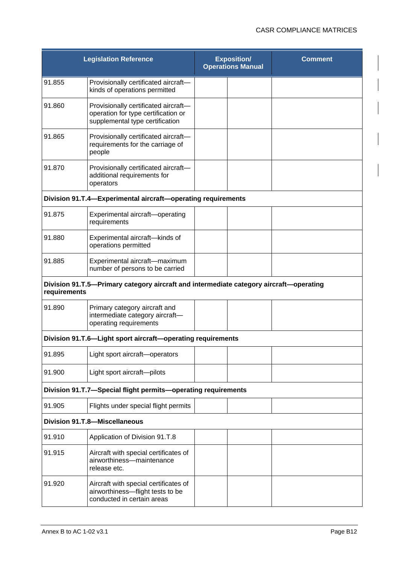|              | <b>Legislation Reference</b>                                                                                   | <b>Exposition/</b><br><b>Operations Manual</b> | <b>Comment</b> |
|--------------|----------------------------------------------------------------------------------------------------------------|------------------------------------------------|----------------|
| 91.855       | Provisionally certificated aircraft-<br>kinds of operations permitted                                          |                                                |                |
| 91.860       | Provisionally certificated aircraft-<br>operation for type certification or<br>supplemental type certification |                                                |                |
| 91.865       | Provisionally certificated aircraft-<br>requirements for the carriage of<br>people                             |                                                |                |
| 91.870       | Provisionally certificated aircraft-<br>additional requirements for<br>operators                               |                                                |                |
|              | Division 91.T.4-Experimental aircraft-operating requirements                                                   |                                                |                |
| 91.875       | Experimental aircraft-operating<br>requirements                                                                |                                                |                |
| 91.880       | Experimental aircraft-kinds of<br>operations permitted                                                         |                                                |                |
| 91.885       | Experimental aircraft-maximum<br>number of persons to be carried                                               |                                                |                |
| requirements | Division 91.T.5-Primary category aircraft and intermediate category aircraft-operating                         |                                                |                |
| 91.890       | Primary category aircraft and<br>intermediate category aircraft-<br>operating requirements                     |                                                |                |
|              | Division 91.T.6-Light sport aircraft-operating requirements                                                    |                                                |                |
| 91.895       | Light sport aircraft-operators                                                                                 |                                                |                |
| 91.900       | Light sport aircraft-pilots                                                                                    |                                                |                |
|              | Division 91.T.7-Special flight permits-operating requirements                                                  |                                                |                |
| 91.905       | Flights under special flight permits                                                                           |                                                |                |
|              | <b>Division 91.T.8-Miscellaneous</b>                                                                           |                                                |                |
| 91.910       | Application of Division 91.T.8                                                                                 |                                                |                |
| 91.915       | Aircraft with special certificates of<br>airworthiness-maintenance<br>release etc.                             |                                                |                |
| 91.920       | Aircraft with special certificates of<br>airworthiness-flight tests to be<br>conducted in certain areas        |                                                |                |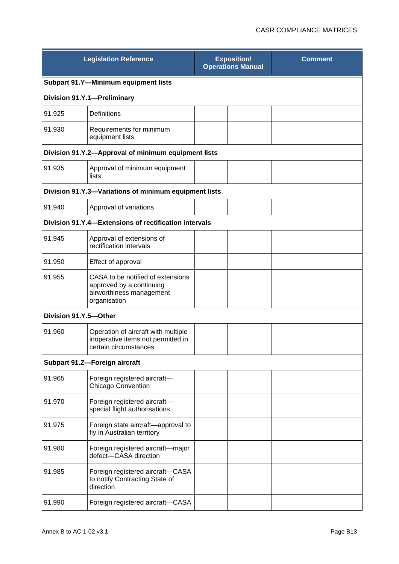|                       | <b>Legislation Reference</b>                                                                              | <b>Exposition/</b><br><b>Operations Manual</b> |  | <b>Comment</b> |
|-----------------------|-----------------------------------------------------------------------------------------------------------|------------------------------------------------|--|----------------|
|                       | Subpart 91.Y-Minimum equipment lists                                                                      |                                                |  |                |
|                       | Division 91.Y.1-Preliminary                                                                               |                                                |  |                |
| 91.925                | Definitions                                                                                               |                                                |  |                |
| 91.930                | Requirements for minimum<br>equipment lists                                                               |                                                |  |                |
|                       | Division 91.Y.2-Approval of minimum equipment lists                                                       |                                                |  |                |
| 91.935                | Approval of minimum equipment<br>lists                                                                    |                                                |  |                |
|                       | Division 91.Y.3-Variations of minimum equipment lists                                                     |                                                |  |                |
| 91.940                | Approval of variations                                                                                    |                                                |  |                |
|                       | Division 91.Y.4-Extensions of rectification intervals                                                     |                                                |  |                |
| 91.945                | Approval of extensions of<br>rectification intervals                                                      |                                                |  |                |
| 91.950                | Effect of approval                                                                                        |                                                |  |                |
| 91.955                | CASA to be notified of extensions<br>approved by a continuing<br>airworthiness management<br>organisation |                                                |  |                |
| Division 91.Y.5-Other |                                                                                                           |                                                |  |                |
| 91.960                | Operation of aircraft with multiple<br>inoperative items not permitted in<br>certain circumstances        |                                                |  |                |
|                       | Subpart 91.Z-Foreign aircraft                                                                             |                                                |  |                |
| 91.965                | Foreign registered aircraft-<br><b>Chicago Convention</b>                                                 |                                                |  |                |
| 91.970                | Foreign registered aircraft-<br>special flight authorisations                                             |                                                |  |                |
| 91.975                | Foreign state aircraft-approval to<br>fly in Australian territory                                         |                                                |  |                |
| 91.980                | Foreign registered aircraft-major<br>defect-CASA direction                                                |                                                |  |                |
| 91.985                | Foreign registered aircraft-CASA<br>to notify Contracting State of<br>direction                           |                                                |  |                |
| 91.990                | Foreign registered aircraft-CASA                                                                          |                                                |  |                |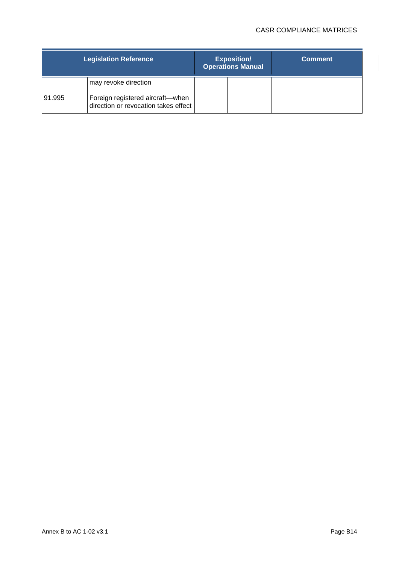|        | <b>Legislation Reference</b>                                             | <b>Exposition/</b><br><b>Operations Manual</b> | <b>Comment</b> |
|--------|--------------------------------------------------------------------------|------------------------------------------------|----------------|
|        | may revoke direction                                                     |                                                |                |
| 91.995 | Foreign registered aircraft-when<br>direction or revocation takes effect |                                                |                |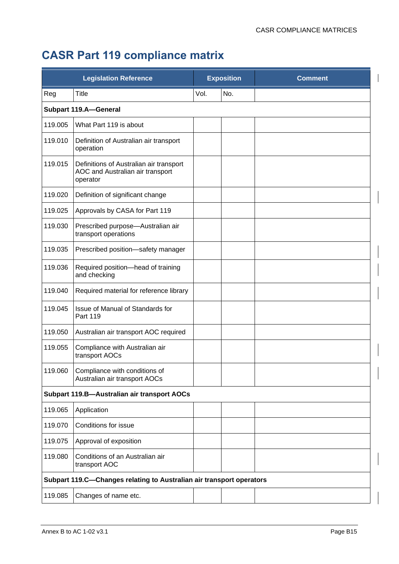## **CASR Part 119 compliance matrix**

| <b>Legislation Reference</b> |                                                                                         | <b>Exposition</b> |     | <b>Comment</b> |
|------------------------------|-----------------------------------------------------------------------------------------|-------------------|-----|----------------|
| Reg                          | <b>Title</b>                                                                            | Vol.              | No. |                |
|                              | <b>Subpart 119.A-General</b>                                                            |                   |     |                |
| 119.005                      | What Part 119 is about                                                                  |                   |     |                |
| 119.010                      | Definition of Australian air transport<br>operation                                     |                   |     |                |
| 119.015                      | Definitions of Australian air transport<br>AOC and Australian air transport<br>operator |                   |     |                |
| 119.020                      | Definition of significant change                                                        |                   |     |                |
| 119.025                      | Approvals by CASA for Part 119                                                          |                   |     |                |
| 119.030                      | Prescribed purpose-Australian air<br>transport operations                               |                   |     |                |
| 119.035                      | Prescribed position-safety manager                                                      |                   |     |                |
| 119.036                      | Required position-head of training<br>and checking                                      |                   |     |                |
| 119.040                      | Required material for reference library                                                 |                   |     |                |
| 119.045                      | Issue of Manual of Standards for<br>Part 119                                            |                   |     |                |
| 119.050                      | Australian air transport AOC required                                                   |                   |     |                |
| 119.055                      | Compliance with Australian air<br>transport AOCs                                        |                   |     |                |
| 119.060                      | Compliance with conditions of<br>Australian air transport AOCs                          |                   |     |                |
|                              | Subpart 119.B-Australian air transport AOCs                                             |                   |     |                |
| 119.065                      | Application                                                                             |                   |     |                |
| 119.070                      | Conditions for issue                                                                    |                   |     |                |
| 119.075                      | Approval of exposition                                                                  |                   |     |                |
| 119.080                      | Conditions of an Australian air<br>transport AOC                                        |                   |     |                |
|                              | Subpart 119.C-Changes relating to Australian air transport operators                    |                   |     |                |
| 119.085                      | Changes of name etc.                                                                    |                   |     |                |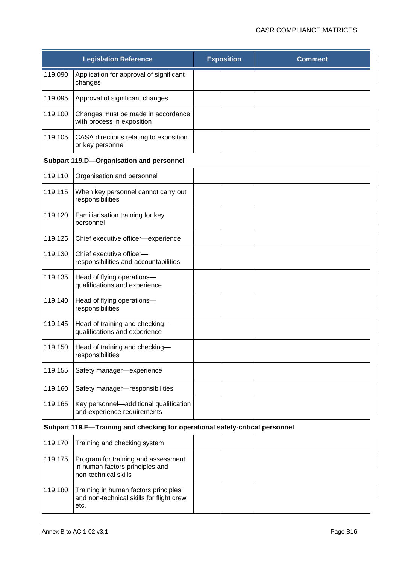|         | <b>Legislation Reference</b>                                                                   | <b>Exposition</b> | <b>Comment</b> |
|---------|------------------------------------------------------------------------------------------------|-------------------|----------------|
| 119.090 | Application for approval of significant<br>changes                                             |                   |                |
| 119.095 | Approval of significant changes                                                                |                   |                |
| 119.100 | Changes must be made in accordance<br>with process in exposition                               |                   |                |
| 119.105 | CASA directions relating to exposition<br>or key personnel                                     |                   |                |
|         | Subpart 119.D-Organisation and personnel                                                       |                   |                |
| 119.110 | Organisation and personnel                                                                     |                   |                |
| 119.115 | When key personnel cannot carry out<br>responsibilities                                        |                   |                |
| 119.120 | Familiarisation training for key<br>personnel                                                  |                   |                |
| 119.125 | Chief executive officer-experience                                                             |                   |                |
| 119.130 | Chief executive officer-<br>responsibilities and accountabilities                              |                   |                |
| 119.135 | Head of flying operations-<br>qualifications and experience                                    |                   |                |
| 119.140 | Head of flying operations-<br>responsibilities                                                 |                   |                |
| 119.145 | Head of training and checking-<br>qualifications and experience                                |                   |                |
| 119.150 | Head of training and checking-<br>responsibilities                                             |                   |                |
| 119.155 | Safety manager-experience                                                                      |                   |                |
| 119.160 | Safety manager-responsibilities                                                                |                   |                |
| 119.165 | Key personnel-additional qualification<br>and experience requirements                          |                   |                |
|         | Subpart 119.E-Training and checking for operational safety-critical personnel                  |                   |                |
| 119.170 | Training and checking system                                                                   |                   |                |
| 119.175 | Program for training and assessment<br>in human factors principles and<br>non-technical skills |                   |                |
| 119.180 | Training in human factors principles<br>and non-technical skills for flight crew<br>etc.       |                   |                |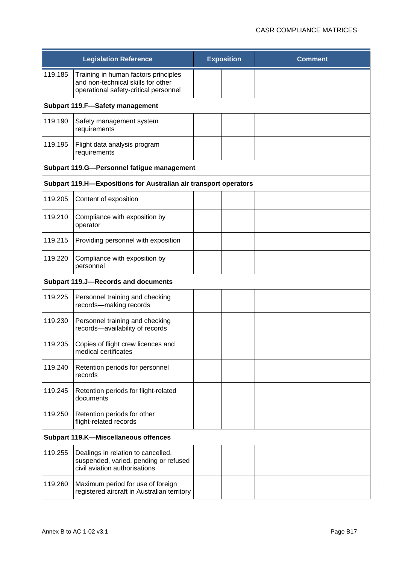|         | <b>Legislation Reference</b>                                                                                        | <b>Exposition</b> | <b>Comment</b> |  |
|---------|---------------------------------------------------------------------------------------------------------------------|-------------------|----------------|--|
| 119.185 | Training in human factors principles<br>and non-technical skills for other<br>operational safety-critical personnel |                   |                |  |
|         | <b>Subpart 119.F-Safety management</b>                                                                              |                   |                |  |
| 119.190 | Safety management system<br>requirements                                                                            |                   |                |  |
| 119.195 | Flight data analysis program<br>requirements                                                                        |                   |                |  |
|         | Subpart 119.G-Personnel fatigue management                                                                          |                   |                |  |
|         | Subpart 119.H-Expositions for Australian air transport operators                                                    |                   |                |  |
| 119.205 | Content of exposition                                                                                               |                   |                |  |
| 119.210 | Compliance with exposition by<br>operator                                                                           |                   |                |  |
| 119.215 | Providing personnel with exposition                                                                                 |                   |                |  |
| 119.220 | Compliance with exposition by<br>personnel                                                                          |                   |                |  |
|         | <b>Subpart 119.J-Records and documents</b>                                                                          |                   |                |  |
| 119.225 | Personnel training and checking<br>records-making records                                                           |                   |                |  |
| 119.230 | Personnel training and checking<br>records-availability of records                                                  |                   |                |  |
| 119.235 | Copies of flight crew licences and<br>medical certificates                                                          |                   |                |  |
| 119.240 | Retention periods for personnel<br>records                                                                          |                   |                |  |
| 119.245 | Retention periods for flight-related<br>documents                                                                   |                   |                |  |
| 119.250 | Retention periods for other<br>flight-related records                                                               |                   |                |  |
|         | Subpart 119.K-Miscellaneous offences                                                                                |                   |                |  |
| 119.255 | Dealings in relation to cancelled,<br>suspended, varied, pending or refused<br>civil aviation authorisations        |                   |                |  |
| 119.260 | Maximum period for use of foreign<br>registered aircraft in Australian territory                                    |                   |                |  |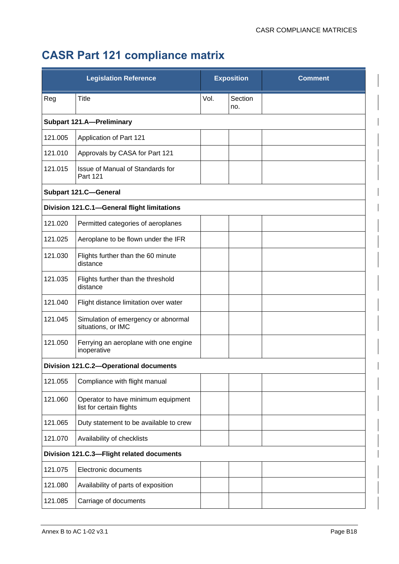## **CASR Part 121 compliance matrix**

| <b>Legislation Reference</b> |                                                                | <b>Exposition</b> |                | <b>Comment</b> |
|------------------------------|----------------------------------------------------------------|-------------------|----------------|----------------|
| Reg                          | <b>Title</b>                                                   | Vol.              | Section<br>no. |                |
|                              | <b>Subpart 121.A-Preliminary</b>                               |                   |                |                |
| 121.005                      | Application of Part 121                                        |                   |                |                |
| 121.010                      | Approvals by CASA for Part 121                                 |                   |                |                |
| 121.015                      | Issue of Manual of Standards for<br>Part 121                   |                   |                |                |
|                              | <b>Subpart 121.C-General</b>                                   |                   |                |                |
|                              | Division 121.C.1-General flight limitations                    |                   |                |                |
| 121.020                      | Permitted categories of aeroplanes                             |                   |                |                |
| 121.025                      | Aeroplane to be flown under the IFR                            |                   |                |                |
| 121.030                      | Flights further than the 60 minute<br>distance                 |                   |                |                |
| 121.035                      | Flights further than the threshold<br>distance                 |                   |                |                |
| 121.040                      | Flight distance limitation over water                          |                   |                |                |
| 121.045                      | Simulation of emergency or abnormal<br>situations, or IMC      |                   |                |                |
| 121.050                      | Ferrying an aeroplane with one engine<br>inoperative           |                   |                |                |
|                              | Division 121.C.2-Operational documents                         |                   |                |                |
| 121.055                      | Compliance with flight manual                                  |                   |                |                |
| 121.060                      | Operator to have minimum equipment<br>list for certain flights |                   |                |                |
| 121.065                      | Duty statement to be available to crew                         |                   |                |                |
| 121.070                      | Availability of checklists                                     |                   |                |                |
|                              | Division 121.C.3-Flight related documents                      |                   |                |                |
| 121.075                      | Electronic documents                                           |                   |                |                |
| 121.080                      | Availability of parts of exposition                            |                   |                |                |
| 121.085                      | Carriage of documents                                          |                   |                |                |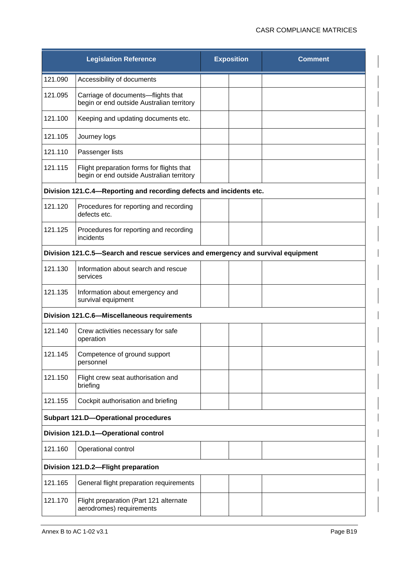| <b>Legislation Reference</b>                                        |                                                                                        | <b>Exposition</b> |  | <b>Comment</b> |  |  |
|---------------------------------------------------------------------|----------------------------------------------------------------------------------------|-------------------|--|----------------|--|--|
| 121.090                                                             | Accessibility of documents                                                             |                   |  |                |  |  |
| 121.095                                                             | Carriage of documents-flights that<br>begin or end outside Australian territory        |                   |  |                |  |  |
| 121.100                                                             | Keeping and updating documents etc.                                                    |                   |  |                |  |  |
| 121.105                                                             | Journey logs                                                                           |                   |  |                |  |  |
| 121.110                                                             | Passenger lists                                                                        |                   |  |                |  |  |
| 121.115                                                             | Flight preparation forms for flights that<br>begin or end outside Australian territory |                   |  |                |  |  |
| Division 121.C.4-Reporting and recording defects and incidents etc. |                                                                                        |                   |  |                |  |  |
| 121.120                                                             | Procedures for reporting and recording<br>defects etc.                                 |                   |  |                |  |  |
| 121.125                                                             | Procedures for reporting and recording<br>incidents                                    |                   |  |                |  |  |
|                                                                     | Division 121.C.5—Search and rescue services and emergency and survival equipment       |                   |  |                |  |  |
| 121.130                                                             | Information about search and rescue<br>services                                        |                   |  |                |  |  |
| 121.135                                                             | Information about emergency and<br>survival equipment                                  |                   |  |                |  |  |
|                                                                     | Division 121.C.6-Miscellaneous requirements                                            |                   |  |                |  |  |
| 121.140                                                             | Crew activities necessary for safe<br>operation                                        |                   |  |                |  |  |
| 121.145                                                             | Competence of ground support<br>personnel                                              |                   |  |                |  |  |
| 121.150                                                             | Flight crew seat authorisation and<br>briefing                                         |                   |  |                |  |  |
| 121.155                                                             | Cockpit authorisation and briefing                                                     |                   |  |                |  |  |
|                                                                     | <b>Subpart 121.D-Operational procedures</b>                                            |                   |  |                |  |  |
|                                                                     | Division 121.D.1-Operational control                                                   |                   |  |                |  |  |
| 121.160                                                             | Operational control                                                                    |                   |  |                |  |  |
|                                                                     | Division 121.D.2-Flight preparation                                                    |                   |  |                |  |  |
| 121.165                                                             | General flight preparation requirements                                                |                   |  |                |  |  |
| 121.170                                                             | Flight preparation (Part 121 alternate<br>aerodromes) requirements                     |                   |  |                |  |  |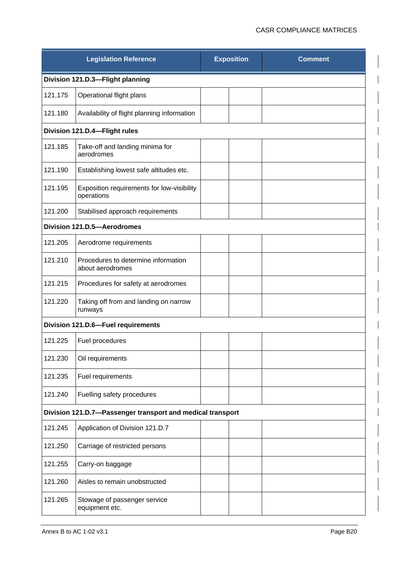| <b>Legislation Reference</b>  |                                                            | <b>Exposition</b> |  | <b>Comment</b> |  |  |  |
|-------------------------------|------------------------------------------------------------|-------------------|--|----------------|--|--|--|
|                               | Division 121.D.3-Flight planning                           |                   |  |                |  |  |  |
| 121.175                       | Operational flight plans                                   |                   |  |                |  |  |  |
| 121.180                       | Availability of flight planning information                |                   |  |                |  |  |  |
| Division 121.D.4-Flight rules |                                                            |                   |  |                |  |  |  |
| 121.185                       | Take-off and landing minima for<br>aerodromes              |                   |  |                |  |  |  |
| 121.190                       | Establishing lowest safe altitudes etc.                    |                   |  |                |  |  |  |
| 121.195                       | Exposition requirements for low-visibility<br>operations   |                   |  |                |  |  |  |
| 121.200                       | Stabilised approach requirements                           |                   |  |                |  |  |  |
|                               | Division 121.D.5-Aerodromes                                |                   |  |                |  |  |  |
| 121.205                       | Aerodrome requirements                                     |                   |  |                |  |  |  |
| 121.210                       | Procedures to determine information<br>about aerodromes    |                   |  |                |  |  |  |
| 121.215                       | Procedures for safety at aerodromes                        |                   |  |                |  |  |  |
| 121.220                       | Taking off from and landing on narrow<br>runways           |                   |  |                |  |  |  |
|                               | Division 121.D.6-Fuel requirements                         |                   |  |                |  |  |  |
| 121.225                       | Fuel procedures                                            |                   |  |                |  |  |  |
| 121.230                       | Oil requirements                                           |                   |  |                |  |  |  |
| 121.235                       | Fuel requirements                                          |                   |  |                |  |  |  |
| 121.240                       | Fuelling safety procedures                                 |                   |  |                |  |  |  |
|                               | Division 121.D.7-Passenger transport and medical transport |                   |  |                |  |  |  |
| 121.245                       | Application of Division 121.D.7                            |                   |  |                |  |  |  |
| 121.250                       | Carriage of restricted persons                             |                   |  |                |  |  |  |
| 121.255                       | Carry-on baggage                                           |                   |  |                |  |  |  |
| 121.260                       | Aisles to remain unobstructed                              |                   |  |                |  |  |  |
| 121.265                       | Stowage of passenger service<br>equipment etc.             |                   |  |                |  |  |  |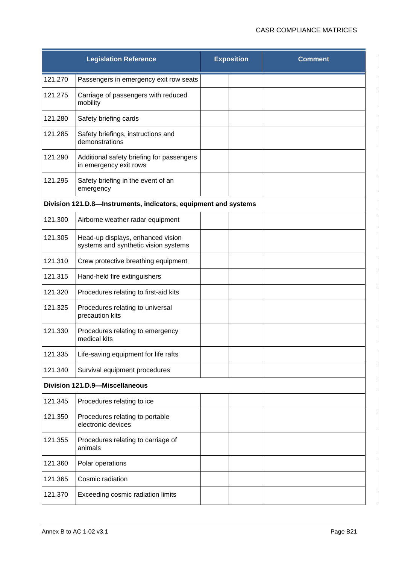| <b>Legislation Reference</b> |                                                                           | <b>Exposition</b> | <b>Comment</b> |
|------------------------------|---------------------------------------------------------------------------|-------------------|----------------|
| 121.270                      | Passengers in emergency exit row seats                                    |                   |                |
| 121.275                      | Carriage of passengers with reduced<br>mobility                           |                   |                |
| 121.280                      | Safety briefing cards                                                     |                   |                |
| 121.285                      | Safety briefings, instructions and<br>demonstrations                      |                   |                |
| 121.290                      | Additional safety briefing for passengers<br>in emergency exit rows       |                   |                |
| 121.295                      | Safety briefing in the event of an<br>emergency                           |                   |                |
|                              | Division 121.D.8-Instruments, indicators, equipment and systems           |                   |                |
| 121.300                      | Airborne weather radar equipment                                          |                   |                |
| 121.305                      | Head-up displays, enhanced vision<br>systems and synthetic vision systems |                   |                |
| 121.310                      | Crew protective breathing equipment                                       |                   |                |
| 121.315                      | Hand-held fire extinguishers                                              |                   |                |
| 121.320                      | Procedures relating to first-aid kits                                     |                   |                |
| 121.325                      | Procedures relating to universal<br>precaution kits                       |                   |                |
| 121.330                      | Procedures relating to emergency<br>medical kits                          |                   |                |
| 121.335                      | Life-saving equipment for life rafts                                      |                   |                |
| 121.340                      | Survival equipment procedures                                             |                   |                |
|                              | <b>Division 121.D.9-Miscellaneous</b>                                     |                   |                |
| 121.345                      | Procedures relating to ice                                                |                   |                |
| 121.350                      | Procedures relating to portable<br>electronic devices                     |                   |                |
| 121.355                      | Procedures relating to carriage of<br>animals                             |                   |                |
| 121.360                      | Polar operations                                                          |                   |                |
| 121.365                      | Cosmic radiation                                                          |                   |                |
| 121.370                      | Exceeding cosmic radiation limits                                         |                   |                |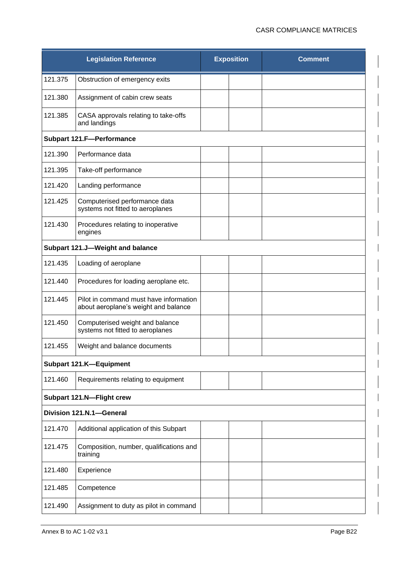|         | <b>Legislation Reference</b>                                                   | <b>Exposition</b> | <b>Comment</b> |
|---------|--------------------------------------------------------------------------------|-------------------|----------------|
| 121.375 | Obstruction of emergency exits                                                 |                   |                |
| 121.380 | Assignment of cabin crew seats                                                 |                   |                |
| 121.385 | CASA approvals relating to take-offs<br>and landings                           |                   |                |
|         | <b>Subpart 121.F-Performance</b>                                               |                   |                |
| 121.390 | Performance data                                                               |                   |                |
| 121.395 | Take-off performance                                                           |                   |                |
| 121.420 | Landing performance                                                            |                   |                |
| 121.425 | Computerised performance data<br>systems not fitted to aeroplanes              |                   |                |
| 121.430 | Procedures relating to inoperative<br>engines                                  |                   |                |
|         | Subpart 121.J-Weight and balance                                               |                   |                |
| 121.435 | Loading of aeroplane                                                           |                   |                |
| 121.440 | Procedures for loading aeroplane etc.                                          |                   |                |
| 121.445 | Pilot in command must have information<br>about aeroplane's weight and balance |                   |                |
| 121.450 | Computerised weight and balance<br>systems not fitted to aeroplanes            |                   |                |
| 121.455 | Weight and balance documents                                                   |                   |                |
|         | Subpart 121.K-Equipment                                                        |                   |                |
| 121.460 | Requirements relating to equipment                                             |                   |                |
|         | Subpart 121.N-Flight crew                                                      |                   |                |
|         | Division 121.N.1-General                                                       |                   |                |
| 121.470 | Additional application of this Subpart                                         |                   |                |
| 121.475 | Composition, number, qualifications and<br>training                            |                   |                |
| 121.480 | Experience                                                                     |                   |                |
| 121.485 | Competence                                                                     |                   |                |
| 121.490 | Assignment to duty as pilot in command                                         |                   |                |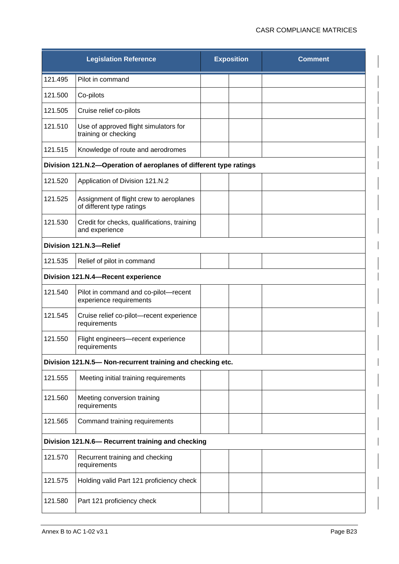| <b>Legislation Reference</b>                                       |                                                                      | <b>Exposition</b> |  | <b>Comment</b> |  |  |
|--------------------------------------------------------------------|----------------------------------------------------------------------|-------------------|--|----------------|--|--|
| 121.495                                                            | Pilot in command                                                     |                   |  |                |  |  |
| 121.500                                                            | Co-pilots                                                            |                   |  |                |  |  |
| 121.505                                                            | Cruise relief co-pilots                                              |                   |  |                |  |  |
| 121.510                                                            | Use of approved flight simulators for<br>training or checking        |                   |  |                |  |  |
| 121.515                                                            | Knowledge of route and aerodromes                                    |                   |  |                |  |  |
| Division 121.N.2-Operation of aeroplanes of different type ratings |                                                                      |                   |  |                |  |  |
| 121.520                                                            | Application of Division 121.N.2                                      |                   |  |                |  |  |
| 121.525                                                            | Assignment of flight crew to aeroplanes<br>of different type ratings |                   |  |                |  |  |
| 121.530                                                            | Credit for checks, qualifications, training<br>and experience        |                   |  |                |  |  |
|                                                                    | Division 121.N.3-Relief                                              |                   |  |                |  |  |
| 121.535                                                            | Relief of pilot in command                                           |                   |  |                |  |  |
|                                                                    | Division 121.N.4-Recent experience                                   |                   |  |                |  |  |
| 121.540                                                            | Pilot in command and co-pilot-recent<br>experience requirements      |                   |  |                |  |  |
| 121.545                                                            | Cruise relief co-pilot-recent experience<br>requirements             |                   |  |                |  |  |
| 121.550                                                            | Flight engineers-recent experience<br>requirements                   |                   |  |                |  |  |
|                                                                    | Division 121.N.5- Non-recurrent training and checking etc.           |                   |  |                |  |  |
| 121.555                                                            | Meeting initial training requirements                                |                   |  |                |  |  |
| 121.560                                                            | Meeting conversion training<br>requirements                          |                   |  |                |  |  |
| 121.565                                                            | Command training requirements                                        |                   |  |                |  |  |
|                                                                    | Division 121.N.6- Recurrent training and checking                    |                   |  |                |  |  |
| 121.570                                                            | Recurrent training and checking<br>requirements                      |                   |  |                |  |  |
| 121.575                                                            | Holding valid Part 121 proficiency check                             |                   |  |                |  |  |
| 121.580                                                            | Part 121 proficiency check                                           |                   |  |                |  |  |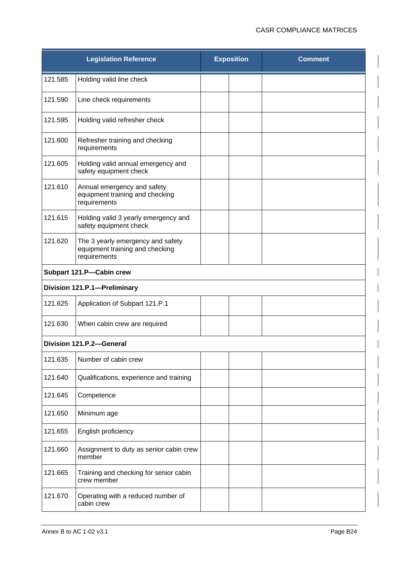| <b>Legislation Reference</b> |                                                                                      | <b>Exposition</b> |  | <b>Comment</b> |
|------------------------------|--------------------------------------------------------------------------------------|-------------------|--|----------------|
| 121.585                      | Holding valid line check                                                             |                   |  |                |
| 121.590                      | Line check requirements                                                              |                   |  |                |
| 121.595                      | Holding valid refresher check                                                        |                   |  |                |
| 121.600                      | Refresher training and checking<br>requirements                                      |                   |  |                |
| 121.605                      | Holding valid annual emergency and<br>safety equipment check                         |                   |  |                |
| 121.610                      | Annual emergency and safety<br>equipment training and checking<br>requirements       |                   |  |                |
| 121.615                      | Holding valid 3 yearly emergency and<br>safety equipment check                       |                   |  |                |
| 121.620                      | The 3 yearly emergency and safety<br>equipment training and checking<br>requirements |                   |  |                |
|                              | Subpart 121.P-Cabin crew                                                             |                   |  |                |
|                              | Division 121.P.1-Preliminary                                                         |                   |  |                |
| 121.625                      | Application of Subpart 121.P.1                                                       |                   |  |                |
| 121.630                      | When cabin crew are required                                                         |                   |  |                |
|                              | Division 121.P.2-General                                                             |                   |  |                |
| 121.635                      | Number of cabin crew                                                                 |                   |  |                |
| 121.640                      | Qualifications, experience and training                                              |                   |  |                |
| 121.645                      | Competence                                                                           |                   |  |                |
| 121.650                      | Minimum age                                                                          |                   |  |                |
| 121.655                      | English proficiency                                                                  |                   |  |                |
| 121.660                      | Assignment to duty as senior cabin crew<br>member                                    |                   |  |                |
| 121.665                      | Training and checking for senior cabin<br>crew member                                |                   |  |                |
| 121.670                      | Operating with a reduced number of<br>cabin crew                                     |                   |  |                |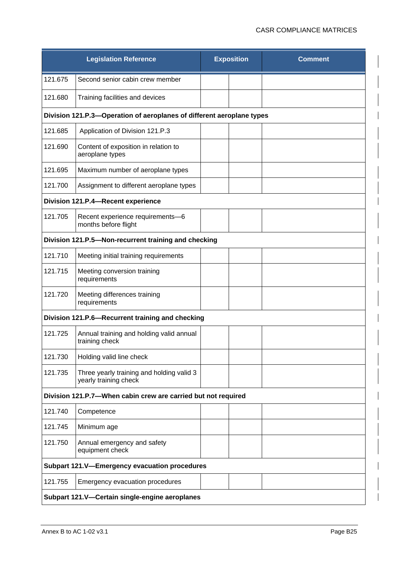|                                                | <b>Legislation Reference</b>                                          | <b>Exposition</b> |  | <b>Comment</b> |  |
|------------------------------------------------|-----------------------------------------------------------------------|-------------------|--|----------------|--|
| 121.675                                        | Second senior cabin crew member                                       |                   |  |                |  |
| 121.680                                        | Training facilities and devices                                       |                   |  |                |  |
|                                                | Division 121.P.3-Operation of aeroplanes of different aeroplane types |                   |  |                |  |
| 121.685                                        | Application of Division 121.P.3                                       |                   |  |                |  |
| 121.690                                        | Content of exposition in relation to<br>aeroplane types               |                   |  |                |  |
| 121.695                                        | Maximum number of aeroplane types                                     |                   |  |                |  |
| 121.700                                        | Assignment to different aeroplane types                               |                   |  |                |  |
|                                                | Division 121.P.4-Recent experience                                    |                   |  |                |  |
| 121.705                                        | Recent experience requirements-6<br>months before flight              |                   |  |                |  |
|                                                | Division 121.P.5-Non-recurrent training and checking                  |                   |  |                |  |
| 121.710                                        | Meeting initial training requirements                                 |                   |  |                |  |
| 121.715                                        | Meeting conversion training<br>requirements                           |                   |  |                |  |
| 121.720                                        | Meeting differences training<br>requirements                          |                   |  |                |  |
|                                                | Division 121.P.6-Recurrent training and checking                      |                   |  |                |  |
| 121.725                                        | Annual training and holding valid annual<br>training check            |                   |  |                |  |
| 121.730                                        | Holding valid line check                                              |                   |  |                |  |
| 121.735                                        | Three yearly training and holding valid 3<br>yearly training check    |                   |  |                |  |
|                                                | Division 121.P.7-When cabin crew are carried but not required         |                   |  |                |  |
| 121.740                                        | Competence                                                            |                   |  |                |  |
| 121.745                                        | Minimum age                                                           |                   |  |                |  |
| 121.750                                        | Annual emergency and safety<br>equipment check                        |                   |  |                |  |
|                                                | Subpart 121.V-Emergency evacuation procedures                         |                   |  |                |  |
| 121.755                                        | Emergency evacuation procedures                                       |                   |  |                |  |
| Subpart 121.V-Certain single-engine aeroplanes |                                                                       |                   |  |                |  |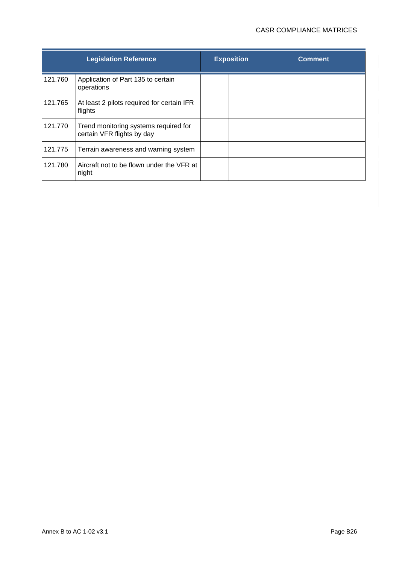|         | <b>Legislation Reference</b>                                        | <b>Exposition</b> | <b>Comment</b> |
|---------|---------------------------------------------------------------------|-------------------|----------------|
| 121.760 | Application of Part 135 to certain<br>operations                    |                   |                |
| 121.765 | At least 2 pilots required for certain IFR<br>flights               |                   |                |
| 121.770 | Trend monitoring systems required for<br>certain VFR flights by day |                   |                |
| 121.775 | Terrain awareness and warning system                                |                   |                |
| 121.780 | Aircraft not to be flown under the VFR at<br>night                  |                   |                |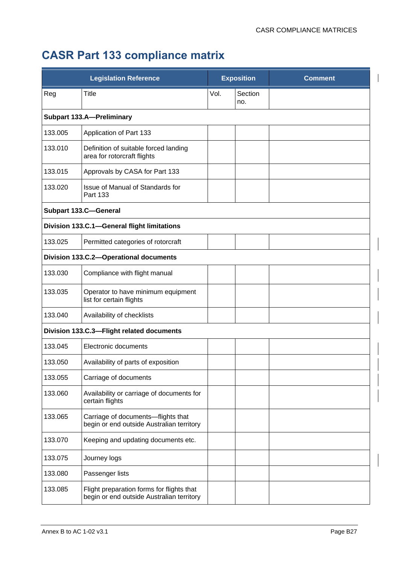## **CASR Part 133 compliance matrix**

|         | <b>Legislation Reference</b>                                                           |      | <b>Exposition</b> | <b>Comment</b> |
|---------|----------------------------------------------------------------------------------------|------|-------------------|----------------|
| Reg     | <b>Title</b>                                                                           | Vol. | Section<br>no.    |                |
|         | <b>Subpart 133.A-Preliminary</b>                                                       |      |                   |                |
| 133.005 | Application of Part 133                                                                |      |                   |                |
| 133.010 | Definition of suitable forced landing<br>area for rotorcraft flights                   |      |                   |                |
| 133.015 | Approvals by CASA for Part 133                                                         |      |                   |                |
| 133.020 | Issue of Manual of Standards for<br>Part 133                                           |      |                   |                |
|         | <b>Subpart 133.C-General</b>                                                           |      |                   |                |
|         | Division 133.C.1-General flight limitations                                            |      |                   |                |
| 133.025 | Permitted categories of rotorcraft                                                     |      |                   |                |
|         | Division 133.C.2-Operational documents                                                 |      |                   |                |
| 133.030 | Compliance with flight manual                                                          |      |                   |                |
| 133.035 | Operator to have minimum equipment<br>list for certain flights                         |      |                   |                |
| 133.040 | Availability of checklists                                                             |      |                   |                |
|         | Division 133.C.3-Flight related documents                                              |      |                   |                |
| 133.045 | Electronic documents                                                                   |      |                   |                |
| 133.050 | Availability of parts of exposition                                                    |      |                   |                |
| 133.055 | Carriage of documents                                                                  |      |                   |                |
| 133.060 | Availability or carriage of documents for<br>certain flights                           |      |                   |                |
| 133.065 | Carriage of documents-flights that<br>begin or end outside Australian territory        |      |                   |                |
| 133.070 | Keeping and updating documents etc.                                                    |      |                   |                |
| 133.075 | Journey logs                                                                           |      |                   |                |
| 133.080 | Passenger lists                                                                        |      |                   |                |
| 133.085 | Flight preparation forms for flights that<br>begin or end outside Australian territory |      |                   |                |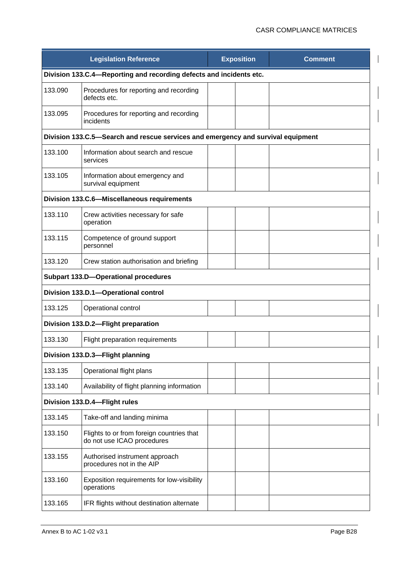|                                             | <b>Legislation Reference</b>                                                     |  | <b>Exposition</b> | <b>Comment</b> |  |
|---------------------------------------------|----------------------------------------------------------------------------------|--|-------------------|----------------|--|
|                                             | Division 133.C.4-Reporting and recording defects and incidents etc.              |  |                   |                |  |
| 133.090                                     | Procedures for reporting and recording<br>defects etc.                           |  |                   |                |  |
| 133.095                                     | Procedures for reporting and recording<br>incidents                              |  |                   |                |  |
|                                             | Division 133.C.5-Search and rescue services and emergency and survival equipment |  |                   |                |  |
| 133.100                                     | Information about search and rescue<br>services                                  |  |                   |                |  |
| 133.105                                     | Information about emergency and<br>survival equipment                            |  |                   |                |  |
| Division 133.C.6-Miscellaneous requirements |                                                                                  |  |                   |                |  |
| 133.110                                     | Crew activities necessary for safe<br>operation                                  |  |                   |                |  |
| 133.115                                     | Competence of ground support<br>personnel                                        |  |                   |                |  |
| 133.120                                     | Crew station authorisation and briefing                                          |  |                   |                |  |
|                                             | <b>Subpart 133.D-Operational procedures</b>                                      |  |                   |                |  |
|                                             | Division 133.D.1-Operational control                                             |  |                   |                |  |
| 133.125                                     | Operational control                                                              |  |                   |                |  |
|                                             | Division 133.D.2-Flight preparation                                              |  |                   |                |  |
| 133.130                                     | Flight preparation requirements                                                  |  |                   |                |  |
|                                             | Division 133.D.3-Flight planning                                                 |  |                   |                |  |
| 133.135                                     | Operational flight plans                                                         |  |                   |                |  |
| 133.140                                     | Availability of flight planning information                                      |  |                   |                |  |
|                                             | Division 133.D.4-Flight rules                                                    |  |                   |                |  |
| 133.145                                     | Take-off and landing minima                                                      |  |                   |                |  |
| 133.150                                     | Flights to or from foreign countries that<br>do not use ICAO procedures          |  |                   |                |  |
| 133.155                                     | Authorised instrument approach<br>procedures not in the AIP                      |  |                   |                |  |
| 133.160                                     | Exposition requirements for low-visibility<br>operations                         |  |                   |                |  |
| 133.165                                     | IFR flights without destination alternate                                        |  |                   |                |  |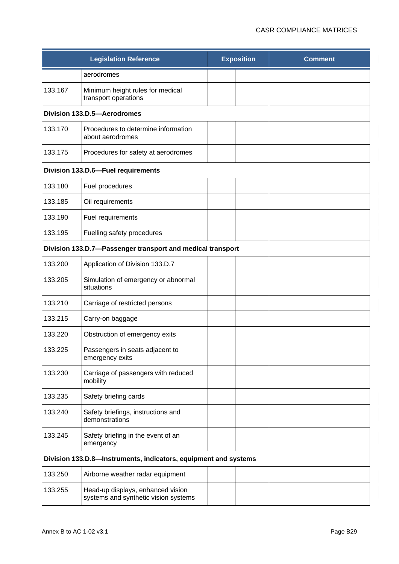|         | <b>Legislation Reference</b>                                              | <b>Exposition</b> | <b>Comment</b> |
|---------|---------------------------------------------------------------------------|-------------------|----------------|
|         | aerodromes                                                                |                   |                |
| 133.167 | Minimum height rules for medical<br>transport operations                  |                   |                |
|         | Division 133.D.5-Aerodromes                                               |                   |                |
| 133.170 | Procedures to determine information<br>about aerodromes                   |                   |                |
| 133.175 | Procedures for safety at aerodromes                                       |                   |                |
|         | Division 133.D.6-Fuel requirements                                        |                   |                |
| 133.180 | Fuel procedures                                                           |                   |                |
| 133.185 | Oil requirements                                                          |                   |                |
| 133.190 | Fuel requirements                                                         |                   |                |
| 133.195 | Fuelling safety procedures                                                |                   |                |
|         | Division 133.D.7-Passenger transport and medical transport                |                   |                |
| 133.200 | Application of Division 133.D.7                                           |                   |                |
| 133.205 | Simulation of emergency or abnormal<br>situations                         |                   |                |
| 133.210 | Carriage of restricted persons                                            |                   |                |
| 133.215 | Carry-on baggage                                                          |                   |                |
| 133.220 | Obstruction of emergency exits                                            |                   |                |
| 133.225 | Passengers in seats adjacent to<br>emergency exits                        |                   |                |
| 133.230 | Carriage of passengers with reduced<br>mobility                           |                   |                |
| 133.235 | Safety briefing cards                                                     |                   |                |
| 133.240 | Safety briefings, instructions and<br>demonstrations                      |                   |                |
| 133.245 | Safety briefing in the event of an<br>emergency                           |                   |                |
|         | Division 133.D.8-Instruments, indicators, equipment and systems           |                   |                |
| 133.250 | Airborne weather radar equipment                                          |                   |                |
| 133.255 | Head-up displays, enhanced vision<br>systems and synthetic vision systems |                   |                |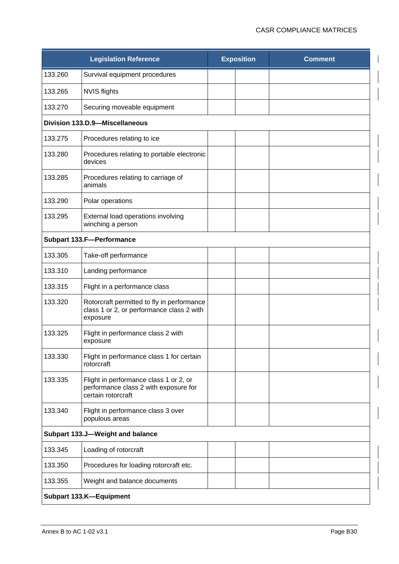|         | <b>Legislation Reference</b>                                                                          |  | <b>Exposition</b> | <b>Comment</b> |  |  |  |  |
|---------|-------------------------------------------------------------------------------------------------------|--|-------------------|----------------|--|--|--|--|
| 133.260 | Survival equipment procedures                                                                         |  |                   |                |  |  |  |  |
| 133.265 | <b>NVIS flights</b>                                                                                   |  |                   |                |  |  |  |  |
| 133.270 | Securing moveable equipment                                                                           |  |                   |                |  |  |  |  |
|         | Division 133.D.9-Miscellaneous                                                                        |  |                   |                |  |  |  |  |
| 133.275 | Procedures relating to ice                                                                            |  |                   |                |  |  |  |  |
| 133.280 | Procedures relating to portable electronic<br>devices                                                 |  |                   |                |  |  |  |  |
| 133.285 | Procedures relating to carriage of<br>animals                                                         |  |                   |                |  |  |  |  |
| 133.290 | Polar operations                                                                                      |  |                   |                |  |  |  |  |
| 133.295 | External load operations involving<br>winching a person                                               |  |                   |                |  |  |  |  |
|         | <b>Subpart 133.F-Performance</b>                                                                      |  |                   |                |  |  |  |  |
| 133.305 | Take-off performance                                                                                  |  |                   |                |  |  |  |  |
| 133.310 | Landing performance                                                                                   |  |                   |                |  |  |  |  |
| 133.315 | Flight in a performance class                                                                         |  |                   |                |  |  |  |  |
| 133.320 | Rotorcraft permitted to fly in performance<br>class 1 or 2, or performance class 2 with<br>exposure   |  |                   |                |  |  |  |  |
| 133.325 | Flight in performance class 2 with<br>exposure                                                        |  |                   |                |  |  |  |  |
| 133.330 | Flight in performance class 1 for certain<br>rotorcraft                                               |  |                   |                |  |  |  |  |
| 133.335 | Flight in performance class 1 or 2, or<br>performance class 2 with exposure for<br>certain rotorcraft |  |                   |                |  |  |  |  |
| 133.340 | Flight in performance class 3 over<br>populous areas                                                  |  |                   |                |  |  |  |  |
|         | Subpart 133.J-Weight and balance                                                                      |  |                   |                |  |  |  |  |
| 133.345 | Loading of rotorcraft                                                                                 |  |                   |                |  |  |  |  |
| 133.350 | Procedures for loading rotorcraft etc.                                                                |  |                   |                |  |  |  |  |
| 133.355 | Weight and balance documents                                                                          |  |                   |                |  |  |  |  |
|         | Subpart 133.K-Equipment                                                                               |  |                   |                |  |  |  |  |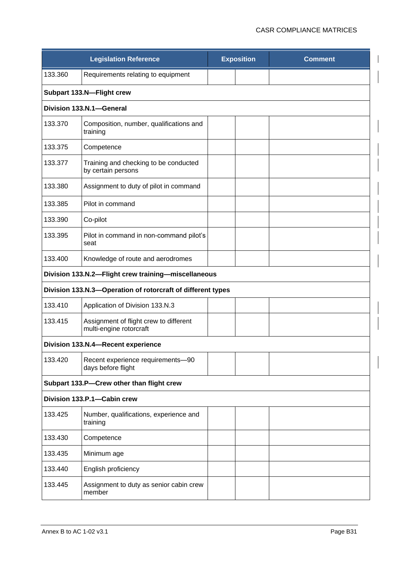|         | <b>Legislation Reference</b>                                      | <b>Exposition</b> | <b>Comment</b> |
|---------|-------------------------------------------------------------------|-------------------|----------------|
| 133.360 | Requirements relating to equipment                                |                   |                |
|         | Subpart 133.N-Flight crew                                         |                   |                |
|         | Division 133.N.1-General                                          |                   |                |
| 133.370 | Composition, number, qualifications and<br>training               |                   |                |
| 133.375 | Competence                                                        |                   |                |
| 133.377 | Training and checking to be conducted<br>by certain persons       |                   |                |
| 133.380 | Assignment to duty of pilot in command                            |                   |                |
| 133.385 | Pilot in command                                                  |                   |                |
| 133.390 | Co-pilot                                                          |                   |                |
| 133.395 | Pilot in command in non-command pilot's<br>seat                   |                   |                |
| 133.400 | Knowledge of route and aerodromes                                 |                   |                |
|         | Division 133.N.2-Flight crew training-miscellaneous               |                   |                |
|         | Division 133.N.3-Operation of rotorcraft of different types       |                   |                |
| 133.410 | Application of Division 133.N.3                                   |                   |                |
| 133.415 | Assignment of flight crew to different<br>multi-engine rotorcraft |                   |                |
|         | Division 133.N.4-Recent experience                                |                   |                |
| 133.420 | Recent experience requirements-90<br>days before flight           |                   |                |
|         | Subpart 133.P-Crew other than flight crew                         |                   |                |
|         | Division 133.P.1-Cabin crew                                       |                   |                |
| 133.425 | Number, qualifications, experience and<br>training                |                   |                |
| 133.430 | Competence                                                        |                   |                |
| 133.435 | Minimum age                                                       |                   |                |
| 133.440 | English proficiency                                               |                   |                |
| 133.445 | Assignment to duty as senior cabin crew<br>member                 |                   |                |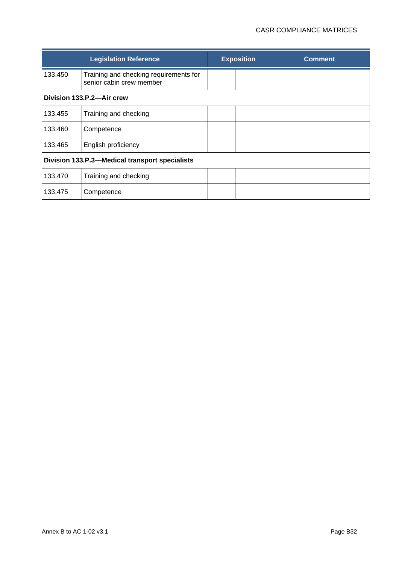|                                                | <b>Legislation Reference</b>                                       |  | <b>Exposition</b> | <b>Comment</b> |  |
|------------------------------------------------|--------------------------------------------------------------------|--|-------------------|----------------|--|
| 133.450                                        | Training and checking requirements for<br>senior cabin crew member |  |                   |                |  |
| Division 133.P.2-Air crew                      |                                                                    |  |                   |                |  |
| 133.455                                        | Training and checking                                              |  |                   |                |  |
| 133.460                                        | Competence                                                         |  |                   |                |  |
| 133.465                                        | English proficiency                                                |  |                   |                |  |
| Division 133.P.3-Medical transport specialists |                                                                    |  |                   |                |  |
| 133.470                                        | Training and checking                                              |  |                   |                |  |
| 133.475                                        | Competence                                                         |  |                   |                |  |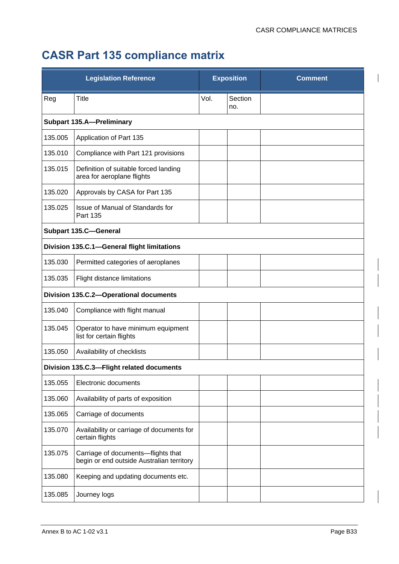## **CASR Part 135 compliance matrix**

|         | <b>Legislation Reference</b>                                                    |      | <b>Exposition</b> | <b>Comment</b> |
|---------|---------------------------------------------------------------------------------|------|-------------------|----------------|
| Reg     | Title                                                                           | Vol. | Section<br>no.    |                |
|         | <b>Subpart 135.A-Preliminary</b>                                                |      |                   |                |
| 135.005 | Application of Part 135                                                         |      |                   |                |
| 135.010 | Compliance with Part 121 provisions                                             |      |                   |                |
| 135.015 | Definition of suitable forced landing<br>area for aeroplane flights             |      |                   |                |
| 135.020 | Approvals by CASA for Part 135                                                  |      |                   |                |
| 135.025 | Issue of Manual of Standards for<br>Part 135                                    |      |                   |                |
|         | <b>Subpart 135.C-General</b>                                                    |      |                   |                |
|         | Division 135.C.1-General flight limitations                                     |      |                   |                |
| 135.030 | Permitted categories of aeroplanes                                              |      |                   |                |
| 135.035 | Flight distance limitations                                                     |      |                   |                |
|         | Division 135.C.2-Operational documents                                          |      |                   |                |
| 135.040 | Compliance with flight manual                                                   |      |                   |                |
| 135.045 | Operator to have minimum equipment<br>list for certain flights                  |      |                   |                |
| 135.050 | Availability of checklists                                                      |      |                   |                |
|         | Division 135.C.3-Flight related documents                                       |      |                   |                |
| 135.055 | Electronic documents                                                            |      |                   |                |
| 135.060 | Availability of parts of exposition                                             |      |                   |                |
| 135.065 | Carriage of documents                                                           |      |                   |                |
| 135.070 | Availability or carriage of documents for<br>certain flights                    |      |                   |                |
| 135.075 | Carriage of documents-flights that<br>begin or end outside Australian territory |      |                   |                |
| 135.080 | Keeping and updating documents etc.                                             |      |                   |                |
| 135.085 | Journey logs                                                                    |      |                   |                |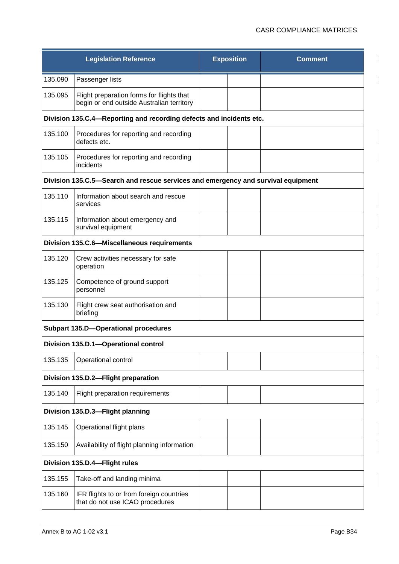|                                                                                  | <b>Legislation Reference</b>                                                           |  | <b>Exposition</b> | <b>Comment</b> |  |  |  |
|----------------------------------------------------------------------------------|----------------------------------------------------------------------------------------|--|-------------------|----------------|--|--|--|
| 135.090                                                                          | Passenger lists                                                                        |  |                   |                |  |  |  |
| 135.095                                                                          | Flight preparation forms for flights that<br>begin or end outside Australian territory |  |                   |                |  |  |  |
|                                                                                  | Division 135.C.4-Reporting and recording defects and incidents etc.                    |  |                   |                |  |  |  |
| 135.100                                                                          | Procedures for reporting and recording<br>defects etc.                                 |  |                   |                |  |  |  |
| 135.105                                                                          | Procedures for reporting and recording<br>incidents                                    |  |                   |                |  |  |  |
| Division 135.C.5-Search and rescue services and emergency and survival equipment |                                                                                        |  |                   |                |  |  |  |
| 135.110                                                                          | Information about search and rescue<br>services                                        |  |                   |                |  |  |  |
| 135.115                                                                          | Information about emergency and<br>survival equipment                                  |  |                   |                |  |  |  |
|                                                                                  | Division 135.C.6-Miscellaneous requirements                                            |  |                   |                |  |  |  |
| 135.120                                                                          | Crew activities necessary for safe<br>operation                                        |  |                   |                |  |  |  |
| 135.125                                                                          | Competence of ground support<br>personnel                                              |  |                   |                |  |  |  |
| 135.130                                                                          | Flight crew seat authorisation and<br>briefing                                         |  |                   |                |  |  |  |
|                                                                                  | <b>Subpart 135.D-Operational procedures</b>                                            |  |                   |                |  |  |  |
|                                                                                  | Division 135.D.1-Operational control                                                   |  |                   |                |  |  |  |
| 135.135                                                                          | Operational control                                                                    |  |                   |                |  |  |  |
|                                                                                  | Division 135.D.2-Flight preparation                                                    |  |                   |                |  |  |  |
| 135.140                                                                          | Flight preparation requirements                                                        |  |                   |                |  |  |  |
|                                                                                  | Division 135.D.3-Flight planning                                                       |  |                   |                |  |  |  |
| 135.145                                                                          | Operational flight plans                                                               |  |                   |                |  |  |  |
| 135.150                                                                          | Availability of flight planning information                                            |  |                   |                |  |  |  |
|                                                                                  | Division 135.D.4-Flight rules                                                          |  |                   |                |  |  |  |
| 135.155                                                                          | Take-off and landing minima                                                            |  |                   |                |  |  |  |
| 135.160                                                                          | IFR flights to or from foreign countries<br>that do not use ICAO procedures            |  |                   |                |  |  |  |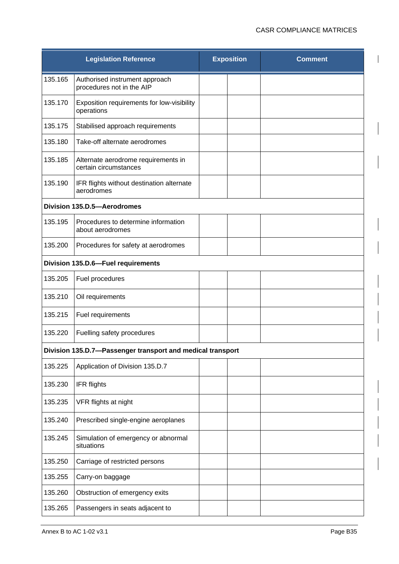|         | <b>Legislation Reference</b>                                 | <b>Exposition</b> | <b>Comment</b> |
|---------|--------------------------------------------------------------|-------------------|----------------|
| 135.165 | Authorised instrument approach<br>procedures not in the AIP  |                   |                |
| 135.170 | Exposition requirements for low-visibility<br>operations     |                   |                |
| 135.175 | Stabilised approach requirements                             |                   |                |
| 135.180 | Take-off alternate aerodromes                                |                   |                |
| 135.185 | Alternate aerodrome requirements in<br>certain circumstances |                   |                |
| 135.190 | IFR flights without destination alternate<br>aerodromes      |                   |                |
|         | Division 135.D.5-Aerodromes                                  |                   |                |
| 135.195 | Procedures to determine information<br>about aerodromes      |                   |                |
| 135.200 | Procedures for safety at aerodromes                          |                   |                |
|         | Division 135.D.6-Fuel requirements                           |                   |                |
| 135.205 | Fuel procedures                                              |                   |                |
| 135.210 | Oil requirements                                             |                   |                |
| 135.215 | Fuel requirements                                            |                   |                |
| 135.220 | Fuelling safety procedures                                   |                   |                |
|         | Division 135.D.7-Passenger transport and medical transport   |                   |                |
| 135.225 | Application of Division 135.D.7                              |                   |                |
| 135.230 | IFR flights                                                  |                   |                |
| 135.235 | VFR flights at night                                         |                   |                |
| 135.240 | Prescribed single-engine aeroplanes                          |                   |                |
| 135.245 | Simulation of emergency or abnormal<br>situations            |                   |                |
| 135.250 | Carriage of restricted persons                               |                   |                |
| 135.255 | Carry-on baggage                                             |                   |                |
| 135.260 | Obstruction of emergency exits                               |                   |                |
| 135.265 | Passengers in seats adjacent to                              |                   |                |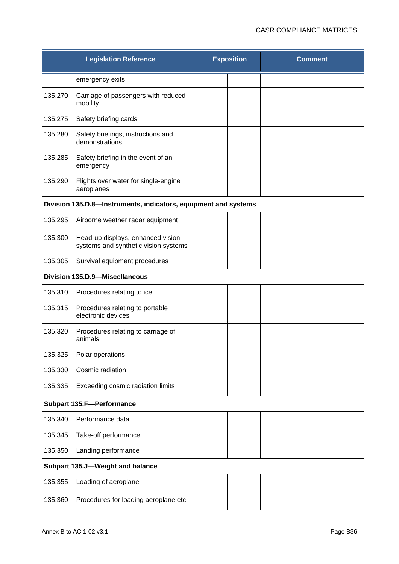|         | <b>Legislation Reference</b>                                              | <b>Exposition</b> | <b>Comment</b> |
|---------|---------------------------------------------------------------------------|-------------------|----------------|
|         | emergency exits                                                           |                   |                |
| 135.270 | Carriage of passengers with reduced<br>mobility                           |                   |                |
| 135.275 | Safety briefing cards                                                     |                   |                |
| 135.280 | Safety briefings, instructions and<br>demonstrations                      |                   |                |
| 135.285 | Safety briefing in the event of an<br>emergency                           |                   |                |
| 135.290 | Flights over water for single-engine<br>aeroplanes                        |                   |                |
|         | Division 135.D.8-Instruments, indicators, equipment and systems           |                   |                |
| 135.295 | Airborne weather radar equipment                                          |                   |                |
| 135.300 | Head-up displays, enhanced vision<br>systems and synthetic vision systems |                   |                |
| 135.305 | Survival equipment procedures                                             |                   |                |
|         | Division 135.D.9-Miscellaneous                                            |                   |                |
| 135.310 | Procedures relating to ice                                                |                   |                |
| 135.315 | Procedures relating to portable<br>electronic devices                     |                   |                |
| 135.320 | Procedures relating to carriage of<br>animals                             |                   |                |
| 135.325 | Polar operations                                                          |                   |                |
| 135.330 | Cosmic radiation                                                          |                   |                |
| 135.335 | Exceeding cosmic radiation limits                                         |                   |                |
|         | <b>Subpart 135.F-Performance</b>                                          |                   |                |
| 135.340 | Performance data                                                          |                   |                |
| 135.345 | Take-off performance                                                      |                   |                |
| 135.350 | Landing performance                                                       |                   |                |
|         | Subpart 135.J-Weight and balance                                          |                   |                |
| 135.355 | Loading of aeroplane                                                      |                   |                |
| 135.360 | Procedures for loading aeroplane etc.                                     |                   |                |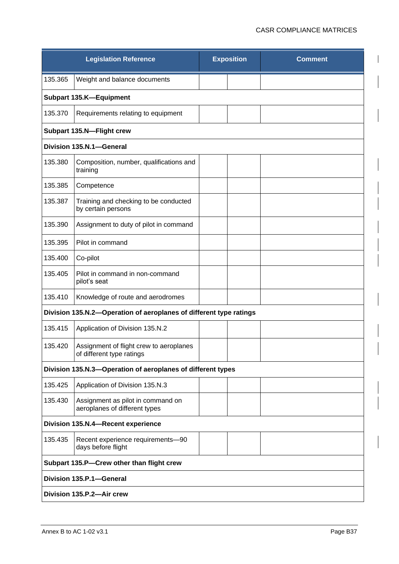|                           | <b>Legislation Reference</b>                                         | <b>Exposition</b> |  | <b>Comment</b> |  |  |
|---------------------------|----------------------------------------------------------------------|-------------------|--|----------------|--|--|
| 135.365                   | Weight and balance documents                                         |                   |  |                |  |  |
|                           | Subpart 135.K-Equipment                                              |                   |  |                |  |  |
| 135.370                   | Requirements relating to equipment                                   |                   |  |                |  |  |
| Subpart 135.N-Flight crew |                                                                      |                   |  |                |  |  |
|                           | Division 135.N.1-General                                             |                   |  |                |  |  |
| 135.380                   | Composition, number, qualifications and<br>training                  |                   |  |                |  |  |
| 135.385                   | Competence                                                           |                   |  |                |  |  |
| 135.387                   | Training and checking to be conducted<br>by certain persons          |                   |  |                |  |  |
| 135.390                   | Assignment to duty of pilot in command                               |                   |  |                |  |  |
| 135.395                   | Pilot in command                                                     |                   |  |                |  |  |
| 135.400                   | Co-pilot                                                             |                   |  |                |  |  |
| 135.405                   | Pilot in command in non-command<br>pilot's seat                      |                   |  |                |  |  |
| 135.410                   | Knowledge of route and aerodromes                                    |                   |  |                |  |  |
|                           | Division 135.N.2-Operation of aeroplanes of different type ratings   |                   |  |                |  |  |
| 135.415                   | Application of Division 135.N.2                                      |                   |  |                |  |  |
| 135.420                   | Assignment of flight crew to aeroplanes<br>of different type ratings |                   |  |                |  |  |
|                           | Division 135.N.3-Operation of aeroplanes of different types          |                   |  |                |  |  |
| 135.425                   | Application of Division 135.N.3                                      |                   |  |                |  |  |
| 135.430                   | Assignment as pilot in command on<br>aeroplanes of different types   |                   |  |                |  |  |
|                           | Division 135.N.4-Recent experience                                   |                   |  |                |  |  |
| 135.435                   | Recent experience requirements-90<br>days before flight              |                   |  |                |  |  |
|                           | Subpart 135.P-Crew other than flight crew                            |                   |  |                |  |  |
|                           | Division 135.P.1-General                                             |                   |  |                |  |  |
|                           | Division 135.P.2-Air crew                                            |                   |  |                |  |  |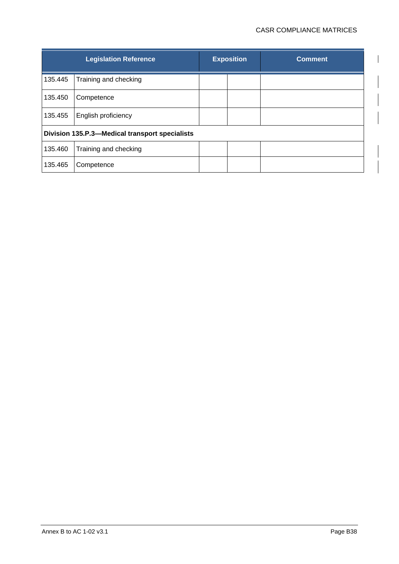|                                                | <b>Legislation Reference</b> |  | <b>Exposition</b> | <b>Comment</b> |  |
|------------------------------------------------|------------------------------|--|-------------------|----------------|--|
| 135.445                                        | Training and checking        |  |                   |                |  |
| 135.450                                        | Competence                   |  |                   |                |  |
| 135.455                                        | English proficiency          |  |                   |                |  |
| Division 135.P.3-Medical transport specialists |                              |  |                   |                |  |
| 135.460                                        | Training and checking        |  |                   |                |  |
| 135.465                                        | Competence                   |  |                   |                |  |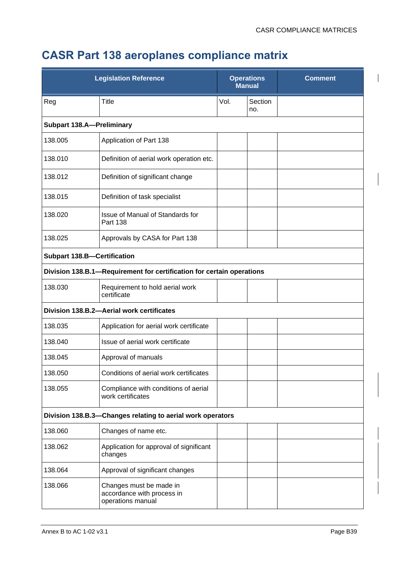## **CASR Part 138 aeroplanes compliance matrix**

| <b>Legislation Reference</b>                               |                                                                            | <b>Operations</b><br><b>Manual</b> |                | <b>Comment</b> |
|------------------------------------------------------------|----------------------------------------------------------------------------|------------------------------------|----------------|----------------|
| Reg                                                        | Title                                                                      | Vol.                               | Section<br>no. |                |
| <b>Subpart 138.A-Preliminary</b>                           |                                                                            |                                    |                |                |
| 138.005                                                    | Application of Part 138                                                    |                                    |                |                |
| 138.010                                                    | Definition of aerial work operation etc.                                   |                                    |                |                |
| 138.012                                                    | Definition of significant change                                           |                                    |                |                |
| 138.015                                                    | Definition of task specialist                                              |                                    |                |                |
| 138.020                                                    | Issue of Manual of Standards for<br><b>Part 138</b>                        |                                    |                |                |
| 138.025                                                    | Approvals by CASA for Part 138                                             |                                    |                |                |
| <b>Subpart 138.B-Certification</b>                         |                                                                            |                                    |                |                |
|                                                            | Division 138.B.1-Requirement for certification for certain operations      |                                    |                |                |
| 138.030                                                    | Requirement to hold aerial work<br>certificate                             |                                    |                |                |
|                                                            | Division 138.B.2-Aerial work certificates                                  |                                    |                |                |
| 138.035                                                    | Application for aerial work certificate                                    |                                    |                |                |
| 138.040                                                    | Issue of aerial work certificate                                           |                                    |                |                |
| 138.045                                                    | Approval of manuals                                                        |                                    |                |                |
| 138.050                                                    | Conditions of aerial work certificates                                     |                                    |                |                |
| 138.055                                                    | Compliance with conditions of aerial<br>work certificates                  |                                    |                |                |
| Division 138.B.3-Changes relating to aerial work operators |                                                                            |                                    |                |                |
| 138.060                                                    | Changes of name etc.                                                       |                                    |                |                |
| 138.062                                                    | Application for approval of significant<br>changes                         |                                    |                |                |
| 138.064                                                    | Approval of significant changes                                            |                                    |                |                |
| 138.066                                                    | Changes must be made in<br>accordance with process in<br>operations manual |                                    |                |                |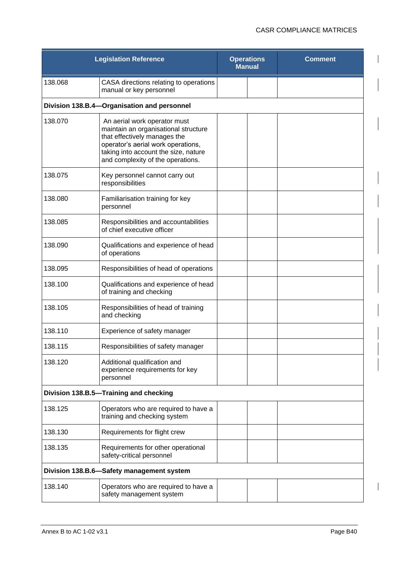|                                           | <b>Legislation Reference</b>                                                                                                                                                                                            | <b>Operations</b><br><b>Manual</b> | <b>Comment</b> |  |  |
|-------------------------------------------|-------------------------------------------------------------------------------------------------------------------------------------------------------------------------------------------------------------------------|------------------------------------|----------------|--|--|
| 138.068                                   | CASA directions relating to operations<br>manual or key personnel                                                                                                                                                       |                                    |                |  |  |
|                                           | Division 138.B.4-Organisation and personnel                                                                                                                                                                             |                                    |                |  |  |
| 138.070                                   | An aerial work operator must<br>maintain an organisational structure<br>that effectively manages the<br>operator's aerial work operations,<br>taking into account the size, nature<br>and complexity of the operations. |                                    |                |  |  |
| 138.075                                   | Key personnel cannot carry out<br>responsibilities                                                                                                                                                                      |                                    |                |  |  |
| 138.080                                   | Familiarisation training for key<br>personnel                                                                                                                                                                           |                                    |                |  |  |
| 138.085                                   | Responsibilities and accountabilities<br>of chief executive officer                                                                                                                                                     |                                    |                |  |  |
| 138.090                                   | Qualifications and experience of head<br>of operations                                                                                                                                                                  |                                    |                |  |  |
| 138.095                                   | Responsibilities of head of operations                                                                                                                                                                                  |                                    |                |  |  |
| 138.100                                   | Qualifications and experience of head<br>of training and checking                                                                                                                                                       |                                    |                |  |  |
| 138.105                                   | Responsibilities of head of training<br>and checking                                                                                                                                                                    |                                    |                |  |  |
| 138.110                                   | Experience of safety manager                                                                                                                                                                                            |                                    |                |  |  |
| 138.115                                   | Responsibilities of safety manager                                                                                                                                                                                      |                                    |                |  |  |
| 138.120                                   | Additional qualification and<br>experience requirements for key<br>personnel                                                                                                                                            |                                    |                |  |  |
| Division 138.B.5-Training and checking    |                                                                                                                                                                                                                         |                                    |                |  |  |
| 138.125                                   | Operators who are required to have a<br>training and checking system                                                                                                                                                    |                                    |                |  |  |
| 138.130                                   | Requirements for flight crew                                                                                                                                                                                            |                                    |                |  |  |
| 138.135                                   | Requirements for other operational<br>safety-critical personnel                                                                                                                                                         |                                    |                |  |  |
| Division 138.B.6-Safety management system |                                                                                                                                                                                                                         |                                    |                |  |  |
| 138.140                                   | Operators who are required to have a<br>safety management system                                                                                                                                                        |                                    |                |  |  |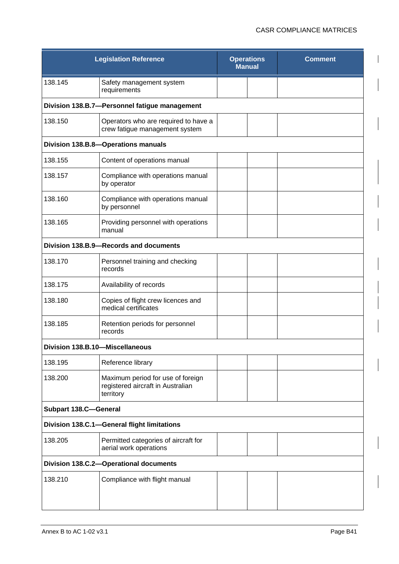| <b>Legislation Reference</b>                |                                                                                     | <b>Operations</b><br><b>Manual</b> | <b>Comment</b> |  |  |
|---------------------------------------------|-------------------------------------------------------------------------------------|------------------------------------|----------------|--|--|
| 138.145                                     | Safety management system<br>requirements                                            |                                    |                |  |  |
|                                             | Division 138.B.7-Personnel fatigue management                                       |                                    |                |  |  |
| 138.150                                     | Operators who are required to have a<br>crew fatigue management system              |                                    |                |  |  |
|                                             | Division 138.B.8-Operations manuals                                                 |                                    |                |  |  |
| 138.155                                     | Content of operations manual                                                        |                                    |                |  |  |
| 138.157                                     | Compliance with operations manual<br>by operator                                    |                                    |                |  |  |
| 138.160                                     | Compliance with operations manual<br>by personnel                                   |                                    |                |  |  |
| 138.165                                     | Providing personnel with operations<br>manual                                       |                                    |                |  |  |
|                                             | Division 138.B.9-Records and documents                                              |                                    |                |  |  |
| 138.170                                     | Personnel training and checking<br>records                                          |                                    |                |  |  |
| 138.175                                     | Availability of records                                                             |                                    |                |  |  |
| 138.180                                     | Copies of flight crew licences and<br>medical certificates                          |                                    |                |  |  |
| 138.185                                     | Retention periods for personnel<br>records                                          |                                    |                |  |  |
| Division 138.B.10-Miscellaneous             |                                                                                     |                                    |                |  |  |
| 138.195                                     | Reference library                                                                   |                                    |                |  |  |
| 138.200                                     | Maximum period for use of foreign<br>registered aircraft in Australian<br>territory |                                    |                |  |  |
| <b>Subpart 138.C-General</b>                |                                                                                     |                                    |                |  |  |
| Division 138.C.1-General flight limitations |                                                                                     |                                    |                |  |  |
| 138.205                                     | Permitted categories of aircraft for<br>aerial work operations                      |                                    |                |  |  |
| Division 138.C.2-Operational documents      |                                                                                     |                                    |                |  |  |
| 138.210                                     | Compliance with flight manual                                                       |                                    |                |  |  |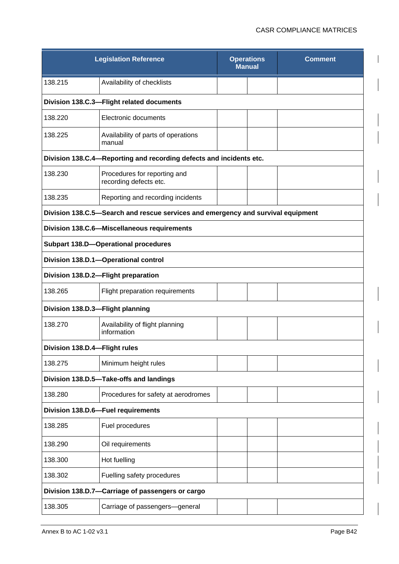| <b>Legislation Reference</b>                     |                                                                                  | <b>Operations</b><br><b>Manual</b> |  | <b>Comment</b> |  |  |
|--------------------------------------------------|----------------------------------------------------------------------------------|------------------------------------|--|----------------|--|--|
| 138.215                                          | Availability of checklists                                                       |                                    |  |                |  |  |
| Division 138.C.3-Flight related documents        |                                                                                  |                                    |  |                |  |  |
| 138.220                                          | Electronic documents                                                             |                                    |  |                |  |  |
| 138.225                                          | Availability of parts of operations<br>manual                                    |                                    |  |                |  |  |
|                                                  | Division 138.C.4-Reporting and recording defects and incidents etc.              |                                    |  |                |  |  |
| 138.230                                          | Procedures for reporting and<br>recording defects etc.                           |                                    |  |                |  |  |
| 138.235                                          | Reporting and recording incidents                                                |                                    |  |                |  |  |
|                                                  | Division 138.C.5-Search and rescue services and emergency and survival equipment |                                    |  |                |  |  |
|                                                  | Division 138.C.6-Miscellaneous requirements                                      |                                    |  |                |  |  |
|                                                  | <b>Subpart 138.D-Operational procedures</b>                                      |                                    |  |                |  |  |
|                                                  | Division 138.D.1-Operational control                                             |                                    |  |                |  |  |
|                                                  | Division 138.D.2-Flight preparation                                              |                                    |  |                |  |  |
| 138.265                                          | Flight preparation requirements                                                  |                                    |  |                |  |  |
| Division 138.D.3-Flight planning                 |                                                                                  |                                    |  |                |  |  |
| 138.270                                          | Availability of flight planning<br>information                                   |                                    |  |                |  |  |
| Division 138.D.4-Flight rules                    |                                                                                  |                                    |  |                |  |  |
| 138.275                                          | Minimum height rules                                                             |                                    |  |                |  |  |
|                                                  | Division 138.D.5-Take-offs and landings                                          |                                    |  |                |  |  |
| 138.280                                          | Procedures for safety at aerodromes                                              |                                    |  |                |  |  |
| Division 138.D.6-Fuel requirements               |                                                                                  |                                    |  |                |  |  |
| 138.285                                          | Fuel procedures                                                                  |                                    |  |                |  |  |
| 138.290                                          | Oil requirements                                                                 |                                    |  |                |  |  |
| 138.300                                          | Hot fuelling                                                                     |                                    |  |                |  |  |
| 138.302                                          | Fuelling safety procedures                                                       |                                    |  |                |  |  |
| Division 138.D.7-Carriage of passengers or cargo |                                                                                  |                                    |  |                |  |  |
| 138.305                                          | Carriage of passengers-general                                                   |                                    |  |                |  |  |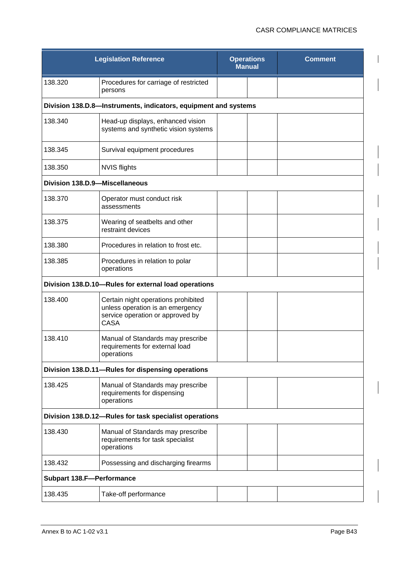| <b>Legislation Reference</b>                           |                                                                                                                            | <b>Operations</b><br><b>Manual</b> | <b>Comment</b> |  |  |
|--------------------------------------------------------|----------------------------------------------------------------------------------------------------------------------------|------------------------------------|----------------|--|--|
| 138.320                                                | Procedures for carriage of restricted<br>persons                                                                           |                                    |                |  |  |
|                                                        | Division 138.D.8-Instruments, indicators, equipment and systems                                                            |                                    |                |  |  |
| 138.340                                                | Head-up displays, enhanced vision<br>systems and synthetic vision systems                                                  |                                    |                |  |  |
| 138.345                                                | Survival equipment procedures                                                                                              |                                    |                |  |  |
| 138.350                                                | <b>NVIS flights</b>                                                                                                        |                                    |                |  |  |
| Division 138.D.9-Miscellaneous                         |                                                                                                                            |                                    |                |  |  |
| 138.370                                                | Operator must conduct risk<br>assessments                                                                                  |                                    |                |  |  |
| 138.375                                                | Wearing of seatbelts and other<br>restraint devices                                                                        |                                    |                |  |  |
| 138.380                                                | Procedures in relation to frost etc.                                                                                       |                                    |                |  |  |
| 138.385                                                | Procedures in relation to polar<br>operations                                                                              |                                    |                |  |  |
|                                                        | Division 138.D.10-Rules for external load operations                                                                       |                                    |                |  |  |
| 138.400                                                | Certain night operations prohibited<br>unless operation is an emergency<br>service operation or approved by<br><b>CASA</b> |                                    |                |  |  |
| 138.410                                                | Manual of Standards may prescribe<br>requirements for external load<br>operations                                          |                                    |                |  |  |
|                                                        | Division 138.D.11-Rules for dispensing operations                                                                          |                                    |                |  |  |
| 138.425                                                | Manual of Standards may prescribe<br>requirements for dispensing<br>operations                                             |                                    |                |  |  |
| Division 138.D.12-Rules for task specialist operations |                                                                                                                            |                                    |                |  |  |
| 138.430                                                | Manual of Standards may prescribe<br>requirements for task specialist<br>operations                                        |                                    |                |  |  |
| 138.432                                                | Possessing and discharging firearms                                                                                        |                                    |                |  |  |
| <b>Subpart 138.F-Performance</b>                       |                                                                                                                            |                                    |                |  |  |
| 138.435                                                | Take-off performance                                                                                                       |                                    |                |  |  |